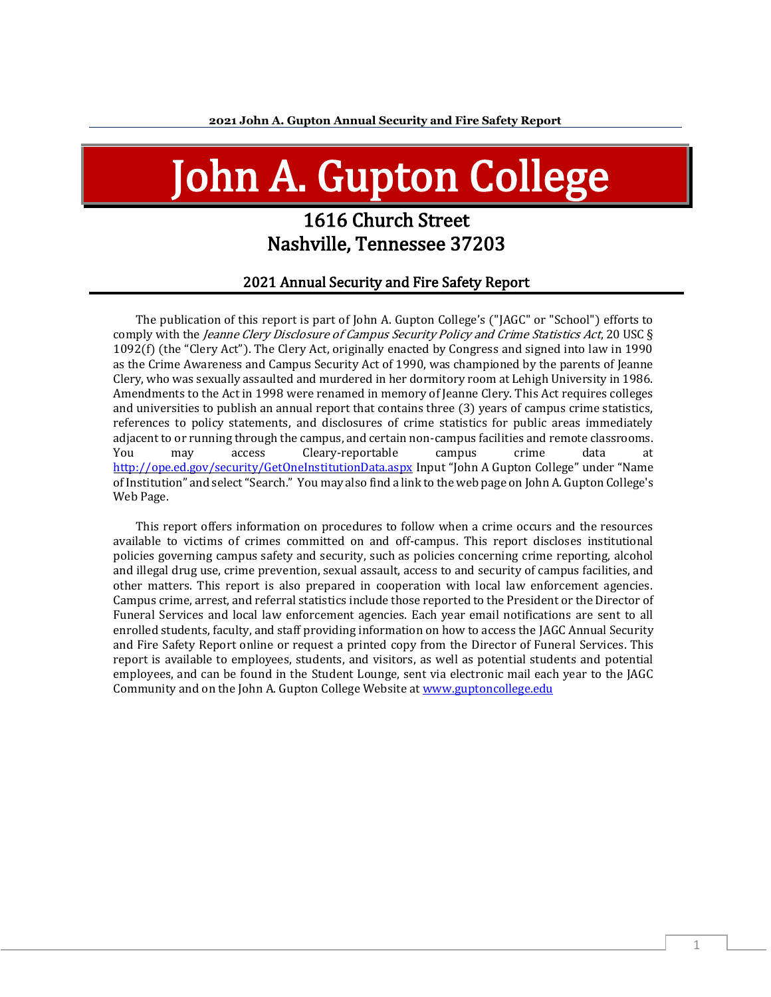# John A. Gupton College

# 1616 Church Street Nashville, Tennessee 37203

#### 2021 Annual Security and Fire Safety Report

The publication of this report is part of John A. Gupton College's ("JAGC" or "School") efforts to comply with the *Jeanne Clery Disclosure of Campus Security Policy and Crime Statistics Act*, 20 USC § 1092(f) (the "Clery Act"). The Clery Act, originally enacted by Congress and signed into law in 1990 as the Crime Awareness and Campus Security Act of 1990, was championed by the parents of Jeanne Clery, who was sexually assaulted and murdered in her dormitory room at Lehigh University in 1986. Amendments to the Act in 1998 were renamed in memory of Jeanne Clery. This Act requires colleges and universities to publish an annual report that contains three (3) years of campus crime statistics, references to policy statements, and disclosures of crime statistics for public areas immediately adjacent to or running through the campus, and certain non-campus facilities and remote classrooms. You may access Cleary-reportable campus crime data at <http://ope.ed.gov/security/GetOneInstitutionData.aspx> Input "John A Gupton College" under "Name of Institution" and select "Search." You may also find a link to the web page on John A. Gupton College's Web Page.

This report offers information on procedures to follow when a crime occurs and the resources available to victims of crimes committed on and off-campus. This report discloses institutional policies governing campus safety and security, such as policies concerning crime reporting, alcohol and illegal drug use, crime prevention, sexual assault, access to and security of campus facilities, and other matters. This report is also prepared in cooperation with local law enforcement agencies. Campus crime, arrest, and referral statistics include those reported to the President or the Director of Funeral Services and local law enforcement agencies. Each year email notifications are sent to all enrolled students, faculty, and staff providing information on how to access the JAGC Annual Security and Fire Safety Report online or request a printed copy from the Director of Funeral Services. This report is available to employees, students, and visitors, as well as potential students and potential employees, and can be found in the Student Lounge, sent via electronic mail each year to the JAGC Community and on the John A. Gupton College Website at [www.guptoncollege.edu](http://www.guptoncollege.edu/)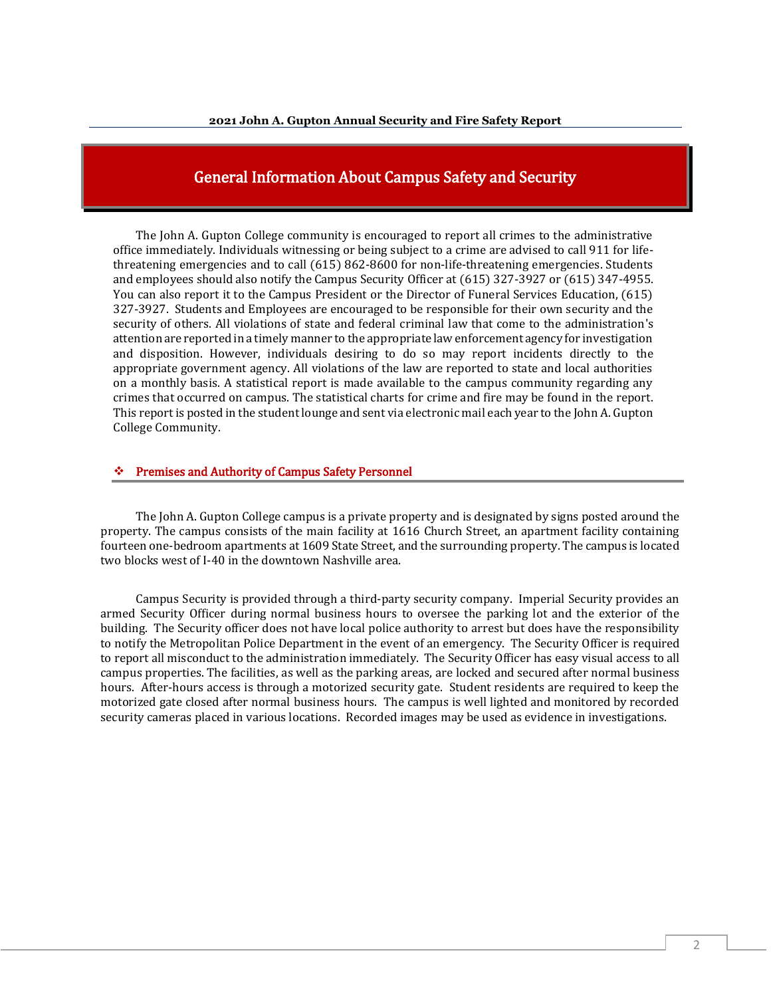## General Information About Campus Safety and Security

The John A. Gupton College community is encouraged to report all crimes to the administrative office immediately. Individuals witnessing or being subject to a crime are advised to call 911 for lifethreatening emergencies and to call (615) 862-8600 for non-life-threatening emergencies. Students and employees should also notify the Campus Security Officer at (615) 327-3927 or (615) 347-4955. You can also report it to the Campus President or the Director of Funeral Services Education, (615) 327-3927. Students and Employees are encouraged to be responsible for their own security and the security of others. All violations of state and federal criminal law that come to the administration's attention are reported in a timely manner to the appropriate law enforcement agency for investigation and disposition. However, individuals desiring to do so may report incidents directly to the appropriate government agency. All violations of the law are reported to state and local authorities on a monthly basis. A statistical report is made available to the campus community regarding any crimes that occurred on campus. The statistical charts for crime and fire may be found in the report. This report is posted in the student lounge and sent via electronic mail each year to the John A. Gupton College Community.

#### ❖ Premises and Authority of Campus Safety Personnel

The John A. Gupton College campus is a private property and is designated by signs posted around the property. The campus consists of the main facility at 1616 Church Street, an apartment facility containing fourteen one-bedroom apartments at 1609 State Street, and the surrounding property. The campus is located two blocks west of I-40 in the downtown Nashville area.

Campus Security is provided through a third-party security company. Imperial Security provides an armed Security Officer during normal business hours to oversee the parking lot and the exterior of the building. The Security officer does not have local police authority to arrest but does have the responsibility to notify the Metropolitan Police Department in the event of an emergency. The Security Officer is required to report all misconduct to the administration immediately. The Security Officer has easy visual access to all campus properties. The facilities, as well as the parking areas, are locked and secured after normal business hours. After-hours access is through a motorized security gate. Student residents are required to keep the motorized gate closed after normal business hours. The campus is well lighted and monitored by recorded security cameras placed in various locations. Recorded images may be used as evidence in investigations.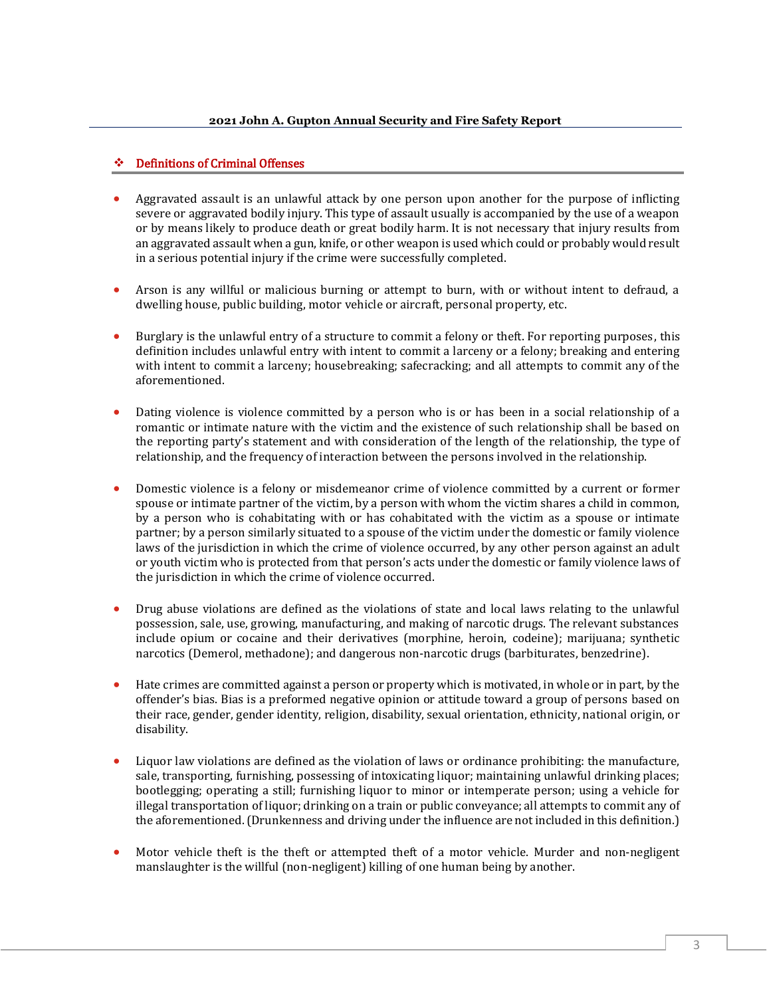#### ❖ Definitions of Criminal Offenses

- Aggravated assault is an unlawful attack by one person upon another for the purpose of inflicting severe or aggravated bodily injury. This type of assault usually is accompanied by the use of a weapon or by means likely to produce death or great bodily harm. It is not necessary that injury results from an aggravated assault when a gun, knife, or other weapon is used which could or probably would result in a serious potential injury if the crime were successfully completed.
- Arson is any willful or malicious burning or attempt to burn, with or without intent to defraud, a dwelling house, public building, motor vehicle or aircraft, personal property, etc.
- Burglary is the unlawful entry of a structure to commit a felony or theft. For reporting purposes, this definition includes unlawful entry with intent to commit a larceny or a felony; breaking and entering with intent to commit a larceny; housebreaking; safecracking; and all attempts to commit any of the aforementioned.
- Dating violence is violence committed by a person who is or has been in a social relationship of a romantic or intimate nature with the victim and the existence of such relationship shall be based on the reporting party's statement and with consideration of the length of the relationship, the type of relationship, and the frequency of interaction between the persons involved in the relationship.
- Domestic violence is a felony or misdemeanor crime of violence committed by a current or former spouse or intimate partner of the victim, by a person with whom the victim shares a child in common, by a person who is cohabitating with or has cohabitated with the victim as a spouse or intimate partner; by a person similarly situated to a spouse of the victim under the domestic or family violence laws of the jurisdiction in which the crime of violence occurred, by any other person against an adult or youth victim who is protected from that person's acts under the domestic or family violence laws of the jurisdiction in which the crime of violence occurred.
- Drug abuse violations are defined as the violations of state and local laws relating to the unlawful possession, sale, use, growing, manufacturing, and making of narcotic drugs. The relevant substances include opium or cocaine and their derivatives (morphine, heroin, codeine); marijuana; synthetic narcotics (Demerol, methadone); and dangerous non-narcotic drugs (barbiturates, benzedrine).
- Hate crimes are committed against a person or property which is motivated, in whole or in part, by the offender's bias. Bias is a preformed negative opinion or attitude toward a group of persons based on their race, gender, gender identity, religion, disability, sexual orientation, ethnicity, national origin, or disability.
- Liquor law violations are defined as the violation of laws or ordinance prohibiting: the manufacture, sale, transporting, furnishing, possessing of intoxicating liquor; maintaining unlawful drinking places; bootlegging; operating a still; furnishing liquor to minor or intemperate person; using a vehicle for illegal transportation of liquor; drinking on a train or public conveyance; all attempts to commit any of the aforementioned. (Drunkenness and driving under the influence are not included in this definition.)
- Motor vehicle theft is the theft or attempted theft of a motor vehicle. Murder and non-negligent manslaughter is the willful (non-negligent) killing of one human being by another.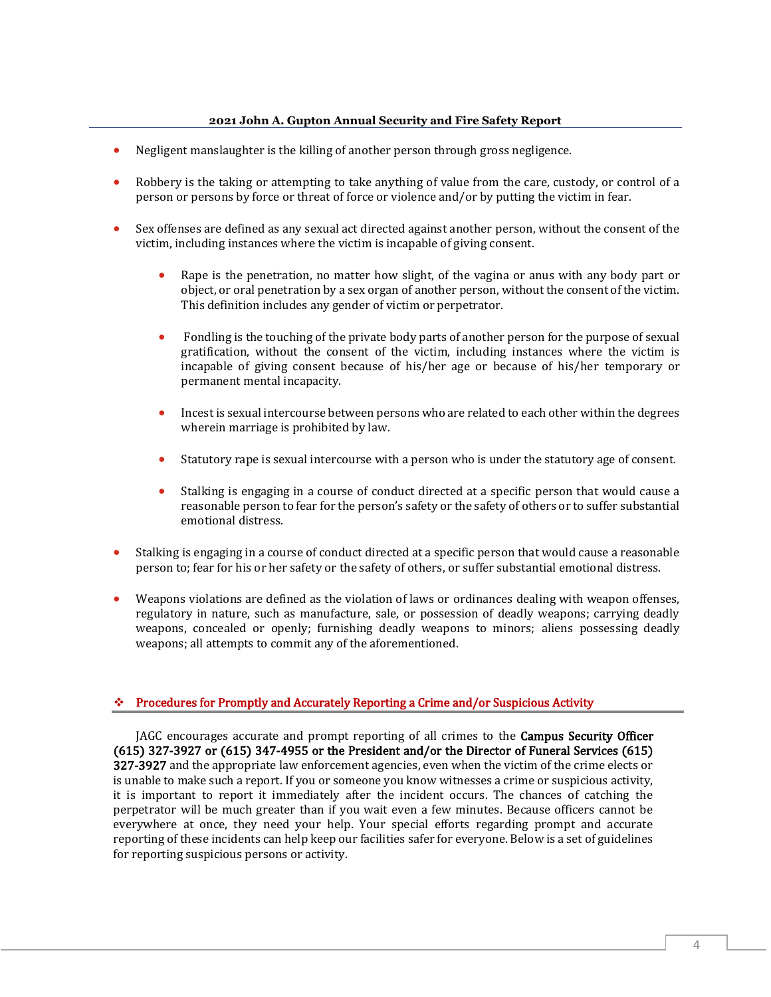- Negligent manslaughter is the killing of another person through gross negligence.
- Robbery is the taking or attempting to take anything of value from the care, custody, or control of a person or persons by force or threat of force or violence and/or by putting the victim in fear.
- Sex offenses are defined as any sexual act directed against another person, without the consent of the victim, including instances where the victim is incapable of giving consent.
	- Rape is the penetration, no matter how slight, of the vagina or anus with any body part or object, or oral penetration by a sex organ of another person, without the consent of the victim. This definition includes any gender of victim or perpetrator.
	- Fondling is the touching of the private body parts of another person for the purpose of sexual gratification, without the consent of the victim, including instances where the victim is incapable of giving consent because of his/her age or because of his/her temporary or permanent mental incapacity.
	- Incest is sexual intercourse between persons who are related to each other within the degrees wherein marriage is prohibited by law.
	- Statutory rape is sexual intercourse with a person who is under the statutory age of consent.
	- Stalking is engaging in a course of conduct directed at a specific person that would cause a reasonable person to fear for the person's safety or the safety of others or to suffer substantial emotional distress.
- Stalking is engaging in a course of conduct directed at a specific person that would cause a reasonable person to; fear for his or her safety or the safety of others, or suffer substantial emotional distress.
- Weapons violations are defined as the violation of laws or ordinances dealing with weapon offenses, regulatory in nature, such as manufacture, sale, or possession of deadly weapons; carrying deadly weapons, concealed or openly; furnishing deadly weapons to minors; aliens possessing deadly weapons; all attempts to commit any of the aforementioned.

#### ❖ Procedures for Promptly and Accurately Reporting a Crime and/or Suspicious Activity

JAGC encourages accurate and prompt reporting of all crimes to the Campus Security Officer (615) 327-3927 or (615) 347-4955 or the President and/or the Director of Funeral Services (615) 327-3927 and the appropriate law enforcement agencies, even when the victim of the crime elects or is unable to make such a report. If you or someone you know witnesses a crime or suspicious activity, it is important to report it immediately after the incident occurs. The chances of catching the perpetrator will be much greater than if you wait even a few minutes. Because officers cannot be everywhere at once, they need your help. Your special efforts regarding prompt and accurate reporting of these incidents can help keep our facilities safer for everyone. Below is a set of guidelines for reporting suspicious persons or activity.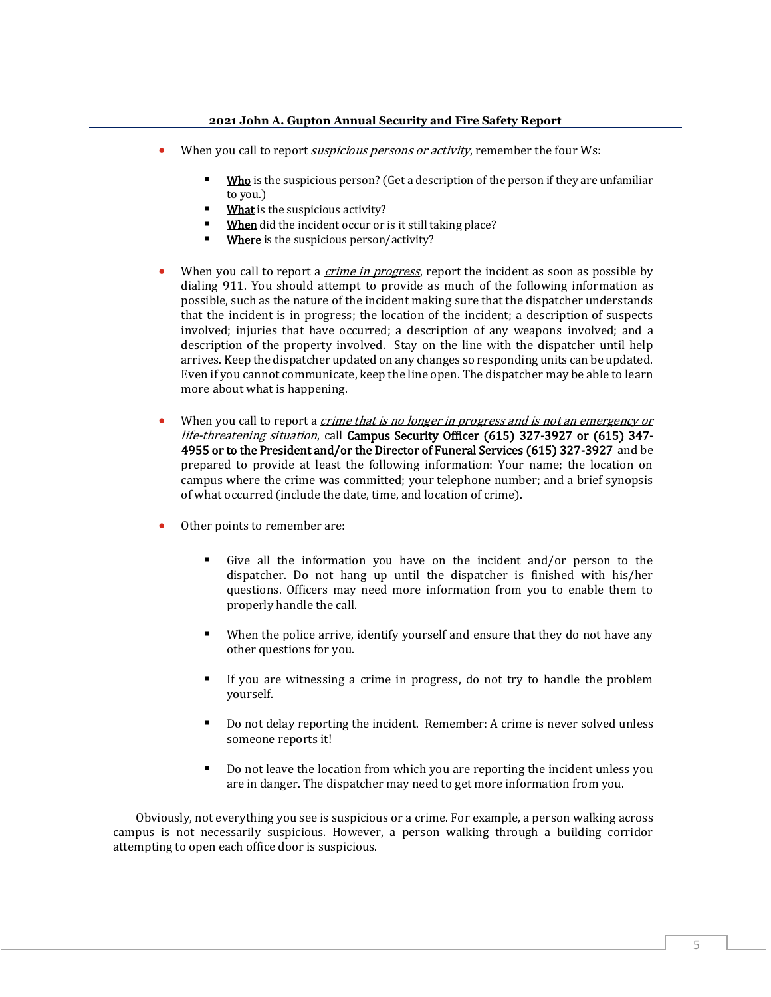- When you call to report *suspicious persons or activity*, remember the four Ws:
	- Who is the suspicious person? (Get a description of the person if they are unfamiliar to you.)
	- What is the suspicious activity?
	- When did the incident occur or is it still taking place?
	- Where is the suspicious person/activity?
- When you call to report a *crime in progress*, report the incident as soon as possible by dialing 911. You should attempt to provide as much of the following information as possible, such as the nature of the incident making sure that the dispatcher understands that the incident is in progress; the location of the incident; a description of suspects involved; injuries that have occurred; a description of any weapons involved; and a description of the property involved. Stay on the line with the dispatcher until help arrives. Keep the dispatcher updated on any changes so responding units can be updated. Even if you cannot communicate, keep the line open. The dispatcher may be able to learn more about what is happening.
- When you call to report a *crime that is no longer in progress and is not an emergency or* life-threatening situation, call Campus Security Officer (615) 327-3927 or (615) 347- 4955 or to the President and/or the Director of Funeral Services (615) 327-3927 and be prepared to provide at least the following information: Your name; the location on campus where the crime was committed; your telephone number; and a brief synopsis of what occurred (include the date, time, and location of crime).
- Other points to remember are:
	- Give all the information you have on the incident and/or person to the dispatcher. Do not hang up until the dispatcher is finished with his/her questions. Officers may need more information from you to enable them to properly handle the call.
	- When the police arrive, identify yourself and ensure that they do not have any other questions for you.
	- If you are witnessing a crime in progress, do not try to handle the problem yourself.
	- Do not delay reporting the incident. Remember: A crime is never solved unless someone reports it!
	- Do not leave the location from which you are reporting the incident unless you are in danger. The dispatcher may need to get more information from you.

Obviously, not everything you see is suspicious or a crime. For example, a person walking across campus is not necessarily suspicious. However, a person walking through a building corridor attempting to open each office door is suspicious.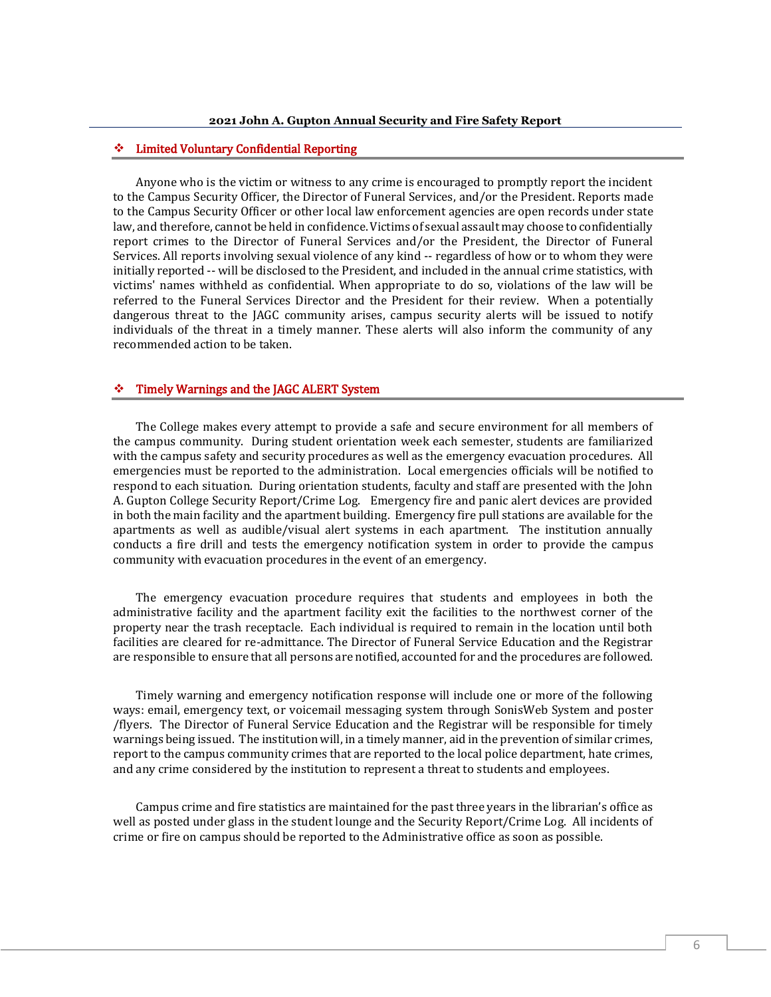#### ❖ Limited Voluntary Confidential Reporting

Anyone who is the victim or witness to any crime is encouraged to promptly report the incident to the Campus Security Officer, the Director of Funeral Services, and/or the President. Reports made to the Campus Security Officer or other local law enforcement agencies are open records under state law, and therefore, cannot be held in confidence. Victims of sexual assault may choose to confidentially report crimes to the Director of Funeral Services and/or the President, the Director of Funeral Services. All reports involving sexual violence of any kind -- regardless of how or to whom they were initially reported -- will be disclosed to the President, and included in the annual crime statistics, with victims' names withheld as confidential. When appropriate to do so, violations of the law will be referred to the Funeral Services Director and the President for their review. When a potentially dangerous threat to the JAGC community arises, campus security alerts will be issued to notify individuals of the threat in a timely manner. These alerts will also inform the community of any recommended action to be taken.

#### ❖ Timely Warnings and the JAGC ALERT System

The College makes every attempt to provide a safe and secure environment for all members of the campus community. During student orientation week each semester, students are familiarized with the campus safety and security procedures as well as the emergency evacuation procedures. All emergencies must be reported to the administration. Local emergencies officials will be notified to respond to each situation. During orientation students, faculty and staff are presented with the John A. Gupton College Security Report/Crime Log. Emergency fire and panic alert devices are provided in both the main facility and the apartment building. Emergency fire pull stations are available for the apartments as well as audible/visual alert systems in each apartment. The institution annually conducts a fire drill and tests the emergency notification system in order to provide the campus community with evacuation procedures in the event of an emergency.

The emergency evacuation procedure requires that students and employees in both the administrative facility and the apartment facility exit the facilities to the northwest corner of the property near the trash receptacle. Each individual is required to remain in the location until both facilities are cleared for re-admittance. The Director of Funeral Service Education and the Registrar are responsible to ensure that all persons are notified, accounted for and the procedures are followed.

Timely warning and emergency notification response will include one or more of the following ways: email, emergency text, or voicemail messaging system through SonisWeb System and poster /flyers. The Director of Funeral Service Education and the Registrar will be responsible for timely warnings being issued. The institution will, in a timely manner, aid in the prevention of similar crimes, report to the campus community crimes that are reported to the local police department, hate crimes, and any crime considered by the institution to represent a threat to students and employees.

Campus crime and fire statistics are maintained for the past three years in the librarian's office as well as posted under glass in the student lounge and the Security Report/Crime Log. All incidents of crime or fire on campus should be reported to the Administrative office as soon as possible.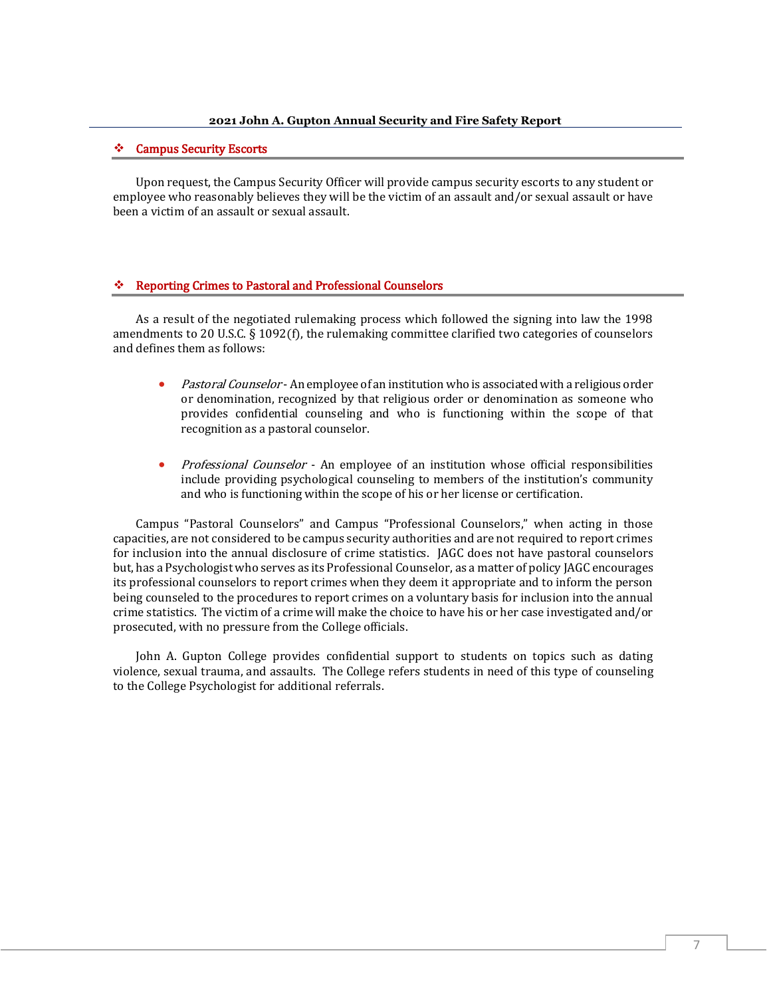#### ❖ Campus Security Escorts

Upon request, the Campus Security Officer will provide campus security escorts to any student or employee who reasonably believes they will be the victim of an assault and/or sexual assault or have been a victim of an assault or sexual assault.

#### ❖ Reporting Crimes to Pastoral and Professional Counselors

As a result of the negotiated rulemaking process which followed the signing into law the 1998 amendments to 20 U.S.C. § 1092(f), the rulemaking committee clarified two categories of counselors and defines them as follows:

- *Pastoral Counselor* An employee of an institution who is associated with a religious order or denomination, recognized by that religious order or denomination as someone who provides confidential counseling and who is functioning within the scope of that recognition as a pastoral counselor.
- *Professional Counselor* An employee of an institution whose official responsibilities include providing psychological counseling to members of the institution's community and who is functioning within the scope of his or her license or certification.

Campus "Pastoral Counselors" and Campus "Professional Counselors," when acting in those capacities, are not considered to be campus security authorities and are not required to report crimes for inclusion into the annual disclosure of crime statistics. JAGC does not have pastoral counselors but, has a Psychologist who serves as its Professional Counselor, as a matter of policy JAGC encourages its professional counselors to report crimes when they deem it appropriate and to inform the person being counseled to the procedures to report crimes on a voluntary basis for inclusion into the annual crime statistics. The victim of a crime will make the choice to have his or her case investigated and/or prosecuted, with no pressure from the College officials.

John A. Gupton College provides confidential support to students on topics such as dating violence, sexual trauma, and assaults. The College refers students in need of this type of counseling to the College Psychologist for additional referrals.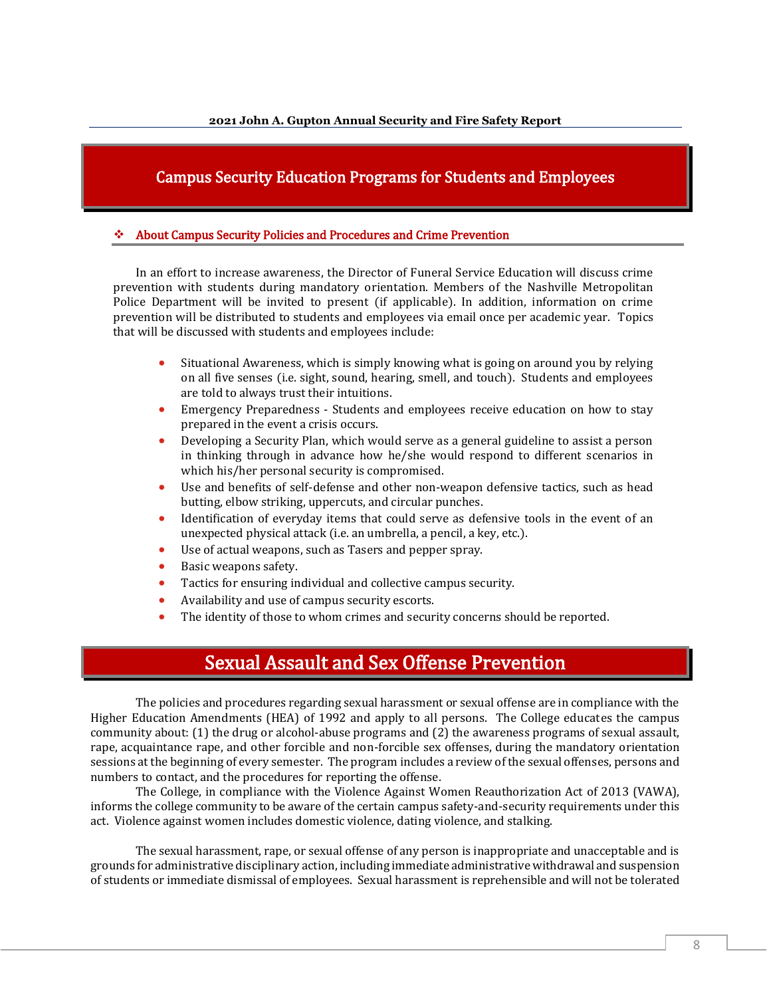## Campus Security Education Programs for Students and Employees

#### ❖ About Campus Security Policies and Procedures and Crime Prevention

In an effort to increase awareness, the Director of Funeral Service Education will discuss crime prevention with students during mandatory orientation. Members of the Nashville Metropolitan Police Department will be invited to present (if applicable). In addition, information on crime prevention will be distributed to students and employees via email once per academic year. Topics that will be discussed with students and employees include:

- Situational Awareness, which is simply knowing what is going on around you by relying on all five senses (i.e. sight, sound, hearing, smell, and touch). Students and employees are told to always trust their intuitions.
- Emergency Preparedness Students and employees receive education on how to stay prepared in the event a crisis occurs.
- Developing a Security Plan, which would serve as a general guideline to assist a person in thinking through in advance how he/she would respond to different scenarios in which his/her personal security is compromised.
- Use and benefits of self-defense and other non-weapon defensive tactics, such as head butting, elbow striking, uppercuts, and circular punches.
- Identification of everyday items that could serve as defensive tools in the event of an unexpected physical attack (i.e. an umbrella, a pencil, a key, etc.).
- Use of actual weapons, such as Tasers and pepper spray.
- Basic weapons safety.
- Tactics for ensuring individual and collective campus security.
- Availability and use of campus security escorts.
- The identity of those to whom crimes and security concerns should be reported.

## Sexual Assault and Sex Offense Prevention

The policies and procedures regarding sexual harassment or sexual offense are in compliance with the Higher Education Amendments (HEA) of 1992 and apply to all persons. The College educates the campus community about: (1) the drug or alcohol-abuse programs and (2) the awareness programs of sexual assault, rape, acquaintance rape, and other forcible and non-forcible sex offenses, during the mandatory orientation sessions at the beginning of every semester. The program includes a review of the sexual offenses, persons and numbers to contact, and the procedures for reporting the offense.

The College, in compliance with the Violence Against Women Reauthorization Act of 2013 (VAWA), informs the college community to be aware of the certain campus safety-and-security requirements under this act. Violence against women includes domestic violence, dating violence, and stalking.

The sexual harassment, rape, or sexual offense of any person is inappropriate and unacceptable and is grounds for administrative disciplinary action, including immediate administrative withdrawal and suspension of students or immediate dismissal of employees. Sexual harassment is reprehensible and will not be tolerated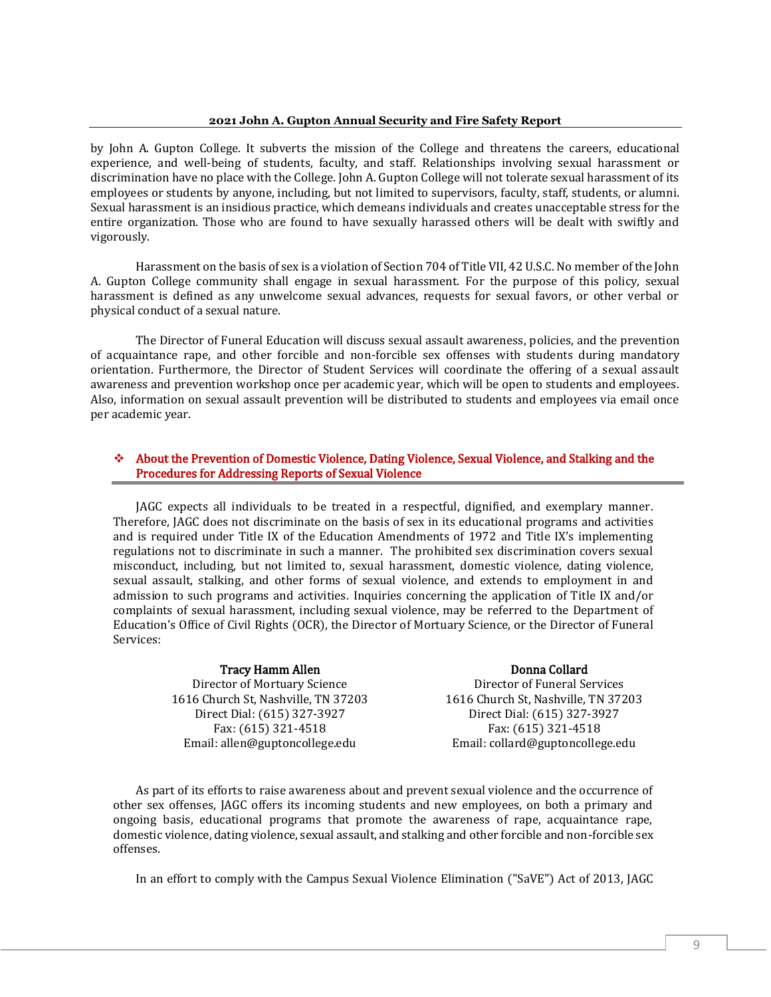by John A. Gupton College. It subverts the mission of the College and threatens the careers, educational experience, and well-being of students, faculty, and staff. Relationships involving sexual harassment or discrimination have no place with the College. John A. Gupton College will not tolerate sexual harassment of its employees or students by anyone, including, but not limited to supervisors, faculty, staff, students, or alumni. Sexual harassment is an insidious practice, which demeans individuals and creates unacceptable stress for the entire organization. Those who are found to have sexually harassed others will be dealt with swiftly and vigorously.

Harassment on the basis of sex is a violation of Section 704 of Title VII, 42 U.S.C. No member of the John A. Gupton College community shall engage in sexual harassment. For the purpose of this policy, sexual harassment is defined as any unwelcome sexual advances, requests for sexual favors, or other verbal or physical conduct of a sexual nature.

The Director of Funeral Education will discuss sexual assault awareness, policies, and the prevention of acquaintance rape, and other forcible and non-forcible sex offenses with students during mandatory orientation. Furthermore, the Director of Student Services will coordinate the offering of a sexual assault awareness and prevention workshop once per academic year, which will be open to students and employees. Also, information on sexual assault prevention will be distributed to students and employees via email once per academic year.

#### ❖ About the Prevention of Domestic Violence, Dating Violence, Sexual Violence, and Stalking and the Procedures for Addressing Reports of Sexual Violence

JAGC expects all individuals to be treated in a respectful, dignified, and exemplary manner. Therefore, JAGC does not discriminate on the basis of sex in its educational programs and activities and is required under Title IX of the Education Amendments of 1972 and Title IX's implementing regulations not to discriminate in such a manner. The prohibited sex discrimination covers sexual misconduct, including, but not limited to, sexual harassment, domestic violence, dating violence, sexual assault, stalking, and other forms of sexual violence, and extends to employment in and admission to such programs and activities. Inquiries concerning the application of Title IX and/or complaints of sexual harassment, including sexual violence, may be referred to the Department of Education's Office of Civil Rights (OCR), the Director of Mortuary Science, or the Director of Funeral Services:

#### Tracy Hamm Allen

Director of Mortuary Science 1616 Church St, Nashville, TN 37203 Direct Dial: (615) 327-3927 Fax: (615) 321-4518 Email: allen@guptoncollege.edu

#### Donna Collard

Director of Funeral Services 1616 Church St, Nashville, TN 37203 Direct Dial: (615) 327-3927 Fax: (615) 321-4518 Email: collard@guptoncollege.edu

As part of its efforts to raise awareness about and prevent sexual violence and the occurrence of other sex offenses, JAGC offers its incoming students and new employees, on both a primary and ongoing basis, educational programs that promote the awareness of rape, acquaintance rape, domestic violence, dating violence, sexual assault, and stalking and other forcible and non-forcible sex offenses.

In an effort to comply with the Campus Sexual Violence Elimination ("SaVE") Act of 2013, JAGC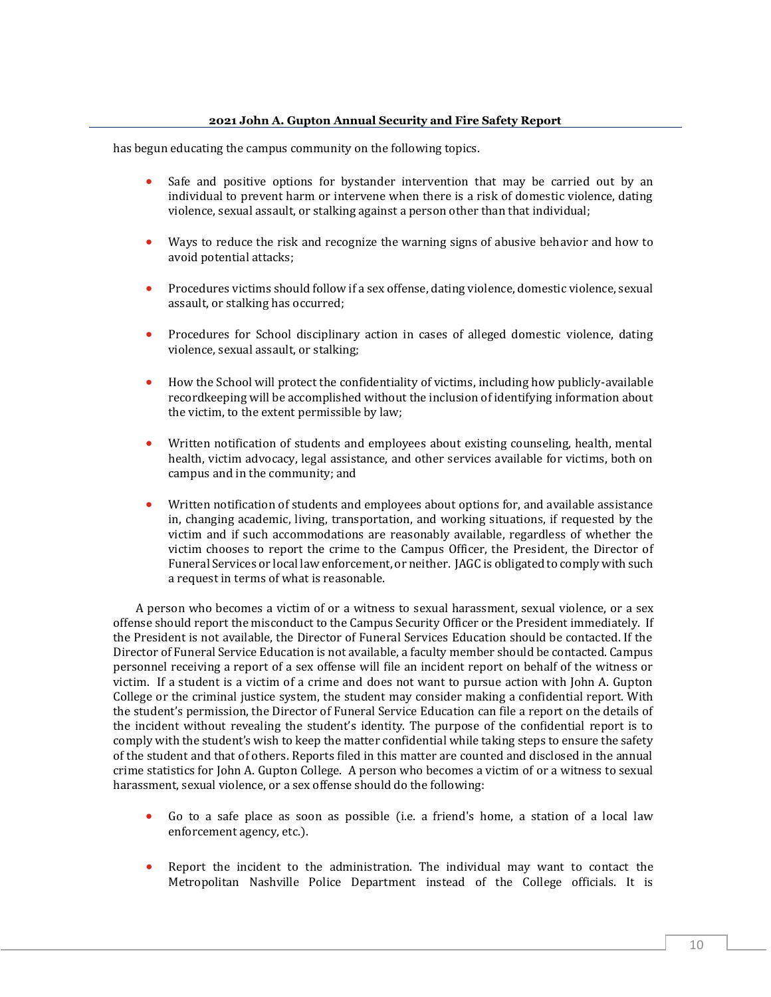has begun educating the campus community on the following topics.

- Safe and positive options for bystander intervention that may be carried out by an individual to prevent harm or intervene when there is a risk of domestic violence, dating violence, sexual assault, or stalking against a person other than that individual;
- Ways to reduce the risk and recognize the warning signs of abusive behavior and how to avoid potential attacks;
- Procedures victims should follow if a sex offense, dating violence, domestic violence, sexual assault, or stalking has occurred;
- Procedures for School disciplinary action in cases of alleged domestic violence, dating violence, sexual assault, or stalking;
- How the School will protect the confidentiality of victims, including how publicly-available recordkeeping will be accomplished without the inclusion of identifying information about the victim, to the extent permissible by law;
- Written notification of students and employees about existing counseling, health, mental health, victim advocacy, legal assistance, and other services available for victims, both on campus and in the community; and
- Written notification of students and employees about options for, and available assistance in, changing academic, living, transportation, and working situations, if requested by the victim and if such accommodations are reasonably available, regardless of whether the victim chooses to report the crime to the Campus Officer, the President, the Director of Funeral Services or local law enforcement, or neither. JAGC is obligated to comply with such a request in terms of what is reasonable.

A person who becomes a victim of or a witness to sexual harassment, sexual violence, or a sex offense should report the misconduct to the Campus Security Officer or the President immediately. If the President is not available, the Director of Funeral Services Education should be contacted. If the Director of Funeral Service Education is not available, a faculty member should be contacted. Campus personnel receiving a report of a sex offense will file an incident report on behalf of the witness or victim. If a student is a victim of a crime and does not want to pursue action with John A. Gupton College or the criminal justice system, the student may consider making a confidential report. With the student's permission, the Director of Funeral Service Education can file a report on the details of the incident without revealing the student's identity. The purpose of the confidential report is to comply with the student's wish to keep the matter confidential while taking steps to ensure the safety of the student and that of others. Reports filed in this matter are counted and disclosed in the annual crime statistics for John A. Gupton College. A person who becomes a victim of or a witness to sexual harassment, sexual violence, or a sex offense should do the following:

- Go to a safe place as soon as possible (i.e. a friend's home, a station of a local law enforcement agency, etc.).
- Report the incident to the administration. The individual may want to contact the Metropolitan Nashville Police Department instead of the College officials. It is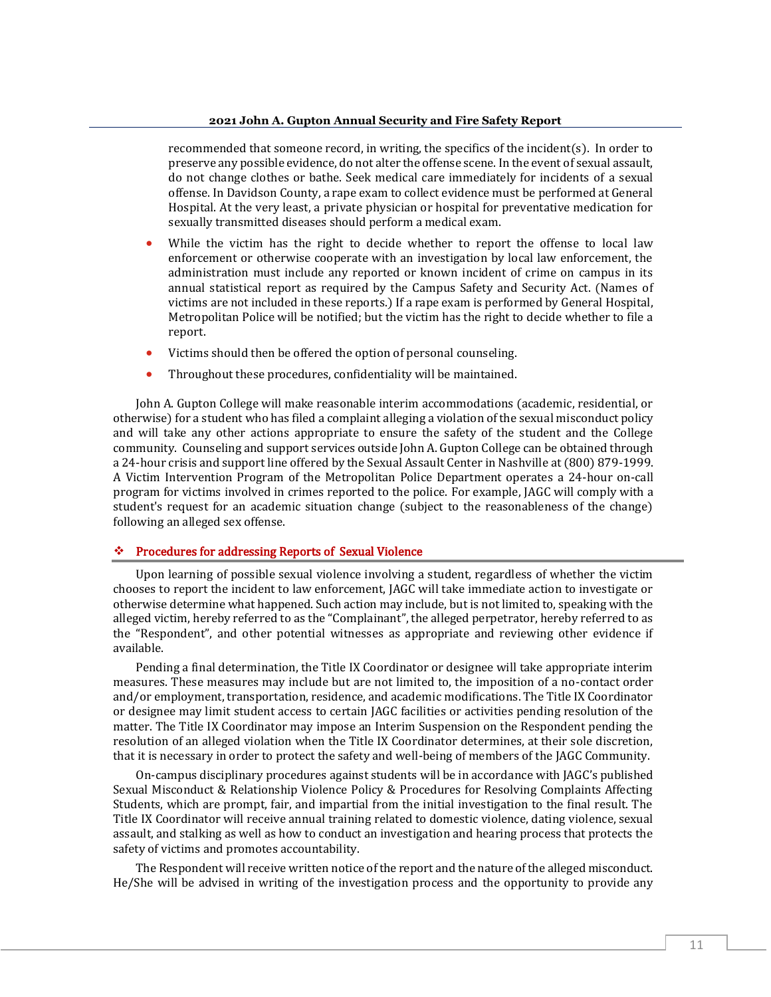recommended that someone record, in writing, the specifics of the incident(s). In order to preserve any possible evidence, do not alter the offense scene. In the event of sexual assault, do not change clothes or bathe. Seek medical care immediately for incidents of a sexual offense. In Davidson County, a rape exam to collect evidence must be performed at General Hospital. At the very least, a private physician or hospital for preventative medication for sexually transmitted diseases should perform a medical exam.

- While the victim has the right to decide whether to report the offense to local law enforcement or otherwise cooperate with an investigation by local law enforcement, the administration must include any reported or known incident of crime on campus in its annual statistical report as required by the Campus Safety and Security Act. (Names of victims are not included in these reports.) If a rape exam is performed by General Hospital, Metropolitan Police will be notified; but the victim has the right to decide whether to file a report.
- Victims should then be offered the option of personal counseling.
- Throughout these procedures, confidentiality will be maintained.

John A. Gupton College will make reasonable interim accommodations (academic, residential, or otherwise) for a student who has filed a complaint alleging a violation of the sexual misconduct policy and will take any other actions appropriate to ensure the safety of the student and the College community. Counseling and support services outside John A. Gupton College can be obtained through a 24-hour crisis and support line offered by the Sexual Assault Center in Nashville at (800) 879-1999. A Victim Intervention Program of the Metropolitan Police Department operates a 24-hour on-call program for victims involved in crimes reported to the police. For example, JAGC will comply with a student's request for an academic situation change (subject to the reasonableness of the change) following an alleged sex offense.

#### ❖ Procedures for addressing Reports of Sexual Violence

Upon learning of possible sexual violence involving a student, regardless of whether the victim chooses to report the incident to law enforcement, JAGC will take immediate action to investigate or otherwise determine what happened. Such action may include, but is not limited to, speaking with the alleged victim, hereby referred to as the "Complainant", the alleged perpetrator, hereby referred to as the "Respondent", and other potential witnesses as appropriate and reviewing other evidence if available.

Pending a final determination, the Title IX Coordinator or designee will take appropriate interim measures. These measures may include but are not limited to, the imposition of a no-contact order and/or employment, transportation, residence, and academic modifications. The Title IX Coordinator or designee may limit student access to certain JAGC facilities or activities pending resolution of the matter. The Title IX Coordinator may impose an Interim Suspension on the Respondent pending the resolution of an alleged violation when the Title IX Coordinator determines, at their sole discretion, that it is necessary in order to protect the safety and well-being of members of the JAGC Community.

On-campus disciplinary procedures against students will be in accordance with JAGC's published Sexual Misconduct & Relationship Violence Policy & Procedures for Resolving Complaints Affecting Students, which are prompt, fair, and impartial from the initial investigation to the final result. The Title IX Coordinator will receive annual training related to domestic violence, dating violence, sexual assault, and stalking as well as how to conduct an investigation and hearing process that protects the safety of victims and promotes accountability.

The Respondent will receive written notice of the report and the nature of the alleged misconduct. He/She will be advised in writing of the investigation process and the opportunity to provide any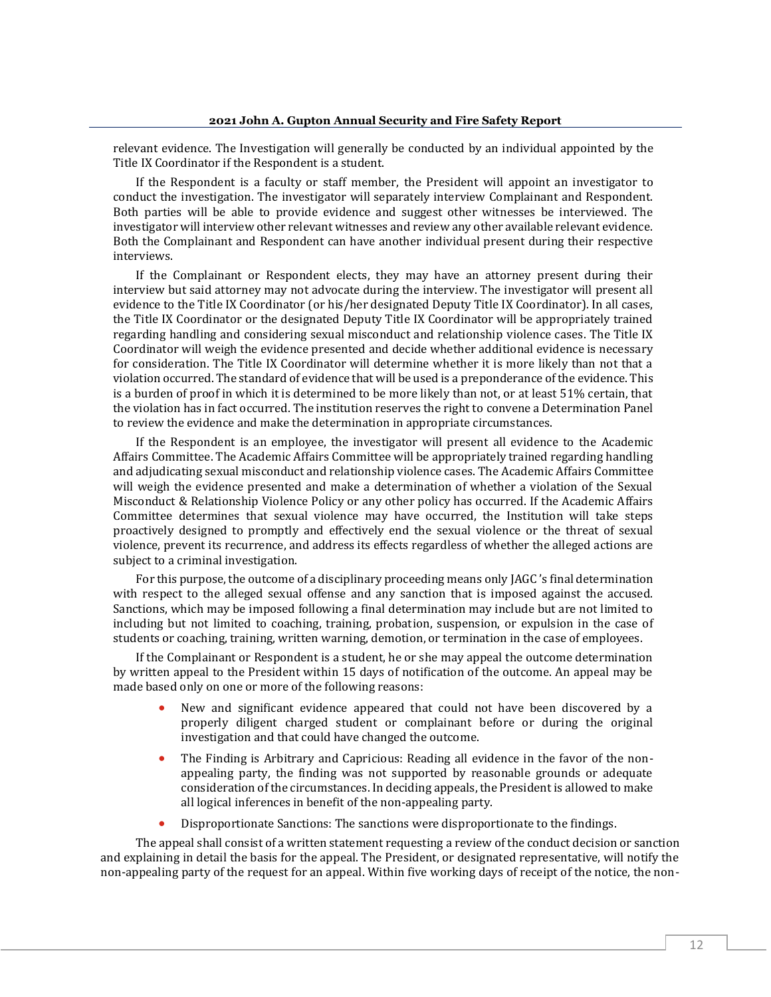relevant evidence. The Investigation will generally be conducted by an individual appointed by the Title IX Coordinator if the Respondent is a student.

If the Respondent is a faculty or staff member, the President will appoint an investigator to conduct the investigation. The investigator will separately interview Complainant and Respondent. Both parties will be able to provide evidence and suggest other witnesses be interviewed. The investigator will interview other relevant witnesses and review any other available relevant evidence. Both the Complainant and Respondent can have another individual present during their respective interviews.

If the Complainant or Respondent elects, they may have an attorney present during their interview but said attorney may not advocate during the interview. The investigator will present all evidence to the Title IX Coordinator (or his/her designated Deputy Title IX Coordinator). In all cases, the Title IX Coordinator or the designated Deputy Title IX Coordinator will be appropriately trained regarding handling and considering sexual misconduct and relationship violence cases. The Title IX Coordinator will weigh the evidence presented and decide whether additional evidence is necessary for consideration. The Title IX Coordinator will determine whether it is more likely than not that a violation occurred. The standard of evidence that will be used is a preponderance of the evidence. This is a burden of proof in which it is determined to be more likely than not, or at least 51% certain, that the violation has in fact occurred. The institution reserves the right to convene a Determination Panel to review the evidence and make the determination in appropriate circumstances.

If the Respondent is an employee, the investigator will present all evidence to the Academic Affairs Committee. The Academic Affairs Committee will be appropriately trained regarding handling and adjudicating sexual misconduct and relationship violence cases. The Academic Affairs Committee will weigh the evidence presented and make a determination of whether a violation of the Sexual Misconduct & Relationship Violence Policy or any other policy has occurred. If the Academic Affairs Committee determines that sexual violence may have occurred, the Institution will take steps proactively designed to promptly and effectively end the sexual violence or the threat of sexual violence, prevent its recurrence, and address its effects regardless of whether the alleged actions are subject to a criminal investigation.

For this purpose, the outcome of a disciplinary proceeding means only JAGC 's final determination with respect to the alleged sexual offense and any sanction that is imposed against the accused. Sanctions, which may be imposed following a final determination may include but are not limited to including but not limited to coaching, training, probation, suspension, or expulsion in the case of students or coaching, training, written warning, demotion, or termination in the case of employees.

If the Complainant or Respondent is a student, he or she may appeal the outcome determination by written appeal to the President within 15 days of notification of the outcome. An appeal may be made based only on one or more of the following reasons:

- New and significant evidence appeared that could not have been discovered by a properly diligent charged student or complainant before or during the original investigation and that could have changed the outcome.
- The Finding is Arbitrary and Capricious: Reading all evidence in the favor of the nonappealing party, the finding was not supported by reasonable grounds or adequate consideration of the circumstances. In deciding appeals, the President is allowed to make all logical inferences in benefit of the non-appealing party.
- Disproportionate Sanctions: The sanctions were disproportionate to the findings.

The appeal shall consist of a written statement requesting a review of the conduct decision or sanction and explaining in detail the basis for the appeal. The President, or designated representative, will notify the non-appealing party of the request for an appeal. Within five working days of receipt of the notice, the non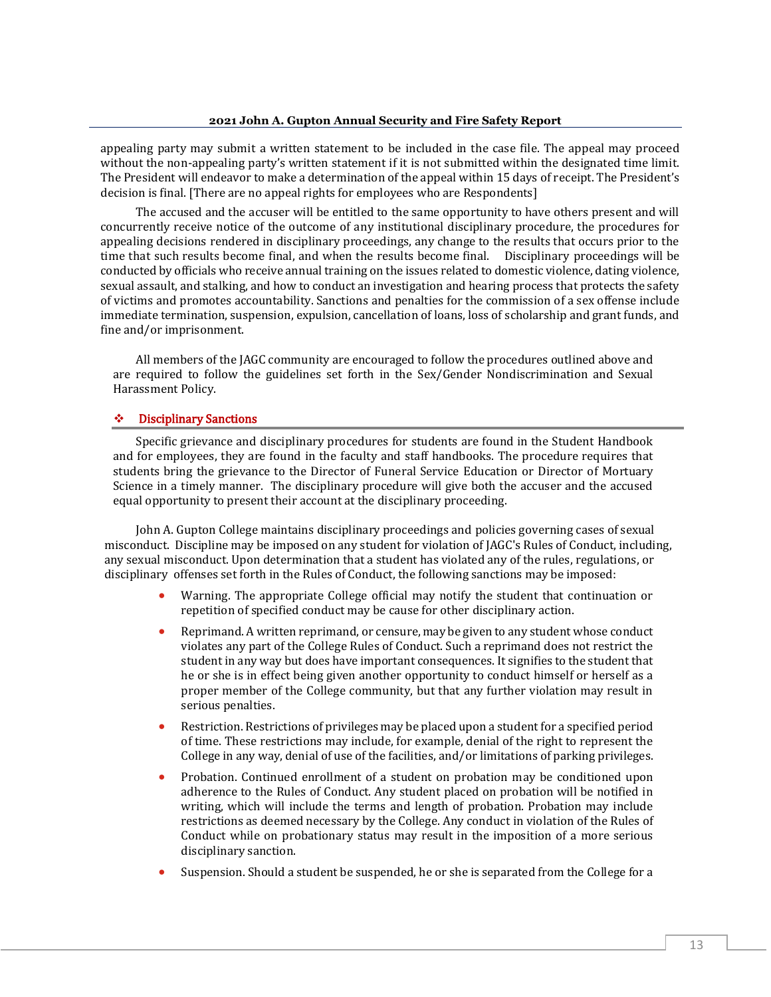appealing party may submit a written statement to be included in the case file. The appeal may proceed without the non-appealing party's written statement if it is not submitted within the designated time limit. The President will endeavor to make a determination of the appeal within 15 days of receipt. The President's decision is final. [There are no appeal rights for employees who are Respondents]

The accused and the accuser will be entitled to the same opportunity to have others present and will concurrently receive notice of the outcome of any institutional disciplinary procedure, the procedures for appealing decisions rendered in disciplinary proceedings, any change to the results that occurs prior to the time that such results become final, and when the results become final. Disciplinary proceedings will be conducted by officials who receive annual training on the issues related to domestic violence, dating violence, sexual assault, and stalking, and how to conduct an investigation and hearing process that protects the safety of victims and promotes accountability. Sanctions and penalties for the commission of a sex offense include immediate termination, suspension, expulsion, cancellation of loans, loss of scholarship and grant funds, and fine and/or imprisonment.

All members of the JAGC community are encouraged to follow the procedures outlined above and are required to follow the guidelines set forth in the Sex/Gender Nondiscrimination and Sexual Harassment Policy.

#### ❖ Disciplinary Sanctions

Specific grievance and disciplinary procedures for students are found in the Student Handbook and for employees, they are found in the faculty and staff handbooks. The procedure requires that students bring the grievance to the Director of Funeral Service Education or Director of Mortuary Science in a timely manner. The disciplinary procedure will give both the accuser and the accused equal opportunity to present their account at the disciplinary proceeding.

 John A. Gupton College maintains disciplinary proceedings and policies governing cases of sexual misconduct. Discipline may be imposed on any student for violation of JAGC's Rules of Conduct, including, any sexual misconduct. Upon determination that a student has violated any of the rules, regulations, or disciplinary offenses set forth in the Rules of Conduct, the following sanctions may be imposed:

- Warning. The appropriate College official may notify the student that continuation or repetition of specified conduct may be cause for other disciplinary action.
- Reprimand. A written reprimand, or censure, may be given to any student whose conduct violates any part of the College Rules of Conduct. Such a reprimand does not restrict the student in any way but does have important consequences. It signifies to the student that he or she is in effect being given another opportunity to conduct himself or herself as a proper member of the College community, but that any further violation may result in serious penalties.
- Restriction. Restrictions of privileges may be placed upon a student for a specified period of time. These restrictions may include, for example, denial of the right to represent the College in any way, denial of use of the facilities, and/or limitations of parking privileges.
- Probation. Continued enrollment of a student on probation may be conditioned upon adherence to the Rules of Conduct. Any student placed on probation will be notified in writing, which will include the terms and length of probation. Probation may include restrictions as deemed necessary by the College. Any conduct in violation of the Rules of Conduct while on probationary status may result in the imposition of a more serious disciplinary sanction.
- Suspension. Should a student be suspended, he or she is separated from the College for a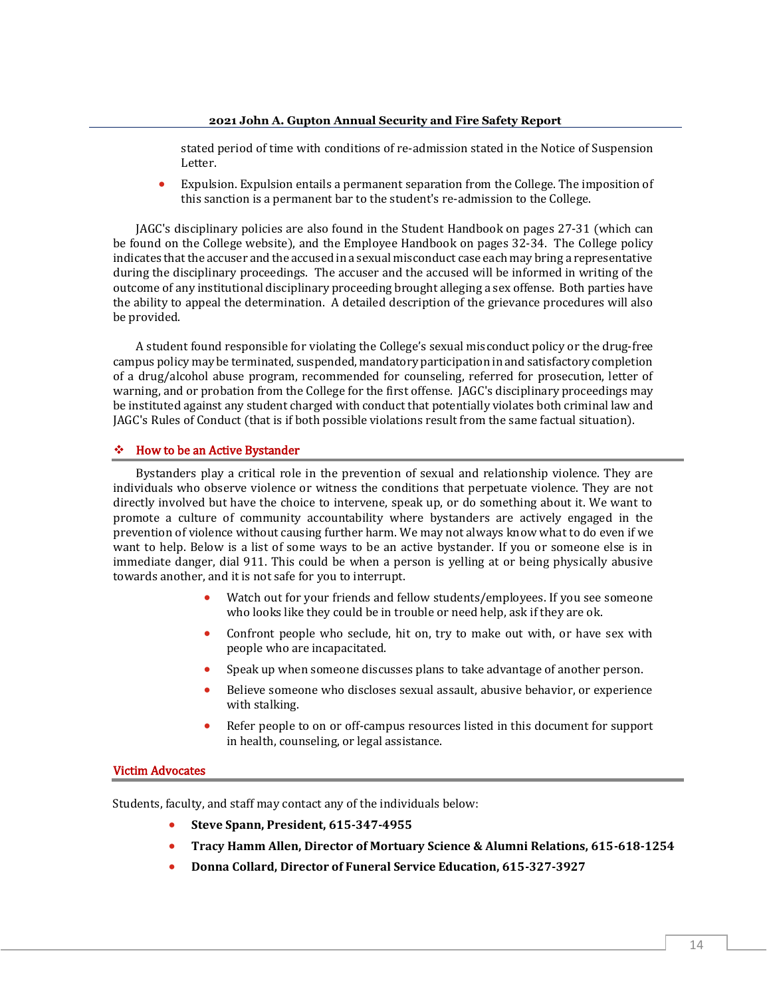stated period of time with conditions of re-admission stated in the Notice of Suspension Letter.

• Expulsion. Expulsion entails a permanent separation from the College. The imposition of this sanction is a permanent bar to the student's re-admission to the College.

JAGC's disciplinary policies are also found in the Student Handbook on pages 27-31 (which can be found on the College website), and the Employee Handbook on pages 32-34. The College policy indicates that the accuser and the accused in a sexual misconduct case each may bring a representative during the disciplinary proceedings. The accuser and the accused will be informed in writing of the outcome of any institutional disciplinary proceeding brought alleging a sex offense. Both parties have the ability to appeal the determination. A detailed description of the grievance procedures will also be provided.

A student found responsible for violating the College's sexual misconduct policy or the drug-free campus policy may be terminated, suspended, mandatory participation in and satisfactory completion of a drug/alcohol abuse program, recommended for counseling, referred for prosecution, letter of warning, and or probation from the College for the first offense. JAGC's disciplinary proceedings may be instituted against any student charged with conduct that potentially violates both criminal law and JAGC's Rules of Conduct (that is if both possible violations result from the same factual situation).

#### ❖ How to be an Active Bystander

Bystanders play a critical role in the prevention of sexual and relationship violence. They are individuals who observe violence or witness the conditions that perpetuate violence. They are not directly involved but have the choice to intervene, speak up, or do something about it. We want to promote a culture of community accountability where bystanders are actively engaged in the prevention of violence without causing further harm. We may not always know what to do even if we want to help. Below is a list of some ways to be an active bystander. If you or someone else is in immediate danger, dial 911. This could be when a person is yelling at or being physically abusive towards another, and it is not safe for you to interrupt.

- Watch out for your friends and fellow students/employees. If you see someone who looks like they could be in trouble or need help, ask if they are ok.
- Confront people who seclude, hit on, try to make out with, or have sex with people who are incapacitated.
- Speak up when someone discusses plans to take advantage of another person.
- Believe someone who discloses sexual assault, abusive behavior, or experience with stalking.
- Refer people to on or off-campus resources listed in this document for support in health, counseling, or legal assistance.

#### Victim Advocates

Students, faculty, and staff may contact any of the individuals below:

- **Steve Spann, President, 615-347-4955**
- **Tracy Hamm Allen, Director of Mortuary Science & Alumni Relations, 615-618-1254**
- **Donna Collard, Director of Funeral Service Education, 615-327-3927**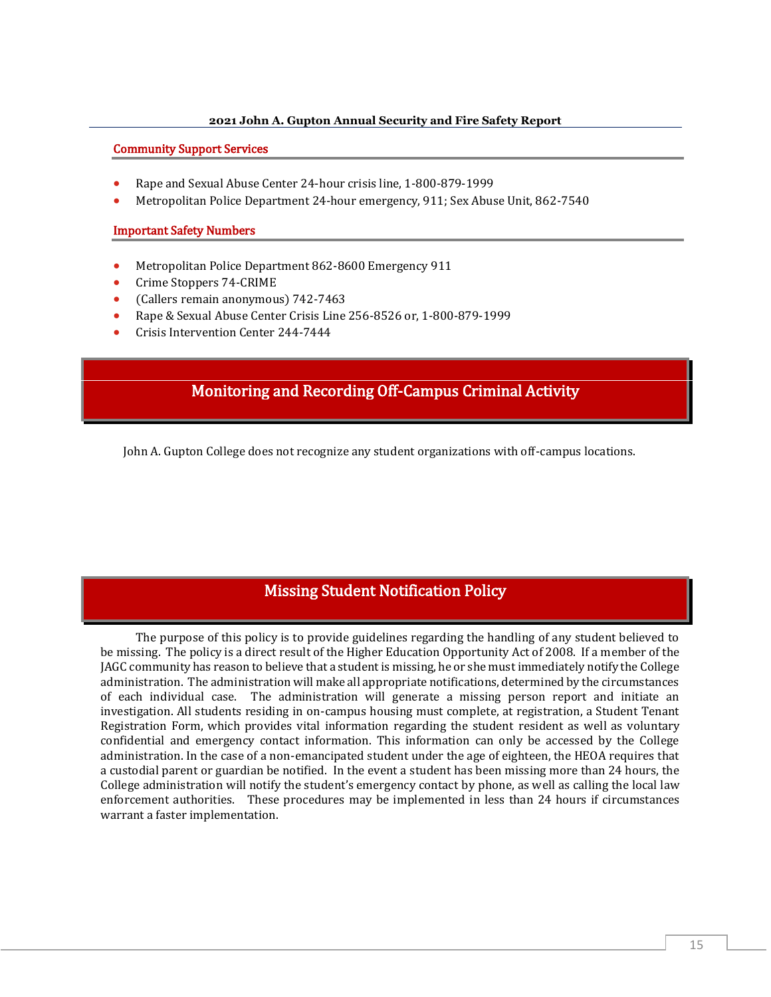#### Community Support Services

- Rape and Sexual Abuse Center 24-hour crisis line, 1-800-879-1999
- Metropolitan Police Department 24-hour emergency, 911; Sex Abuse Unit, 862-7540

#### Important Safety Numbers

- Metropolitan Police Department 862-8600 Emergency 911
- Crime Stoppers 74-CRIME
- (Callers remain anonymous) 742-7463
- Rape & Sexual Abuse Center Crisis Line 256-8526 or, 1-800-879-1999
- Crisis Intervention Center 244-7444

## Monitoring and Recording Off-Campus Criminal Activity

John A. Gupton College does not recognize any student organizations with off-campus locations.

## Missing Student Notification Policy

The purpose of this policy is to provide guidelines regarding the handling of any student believed to be missing. The policy is a direct result of the Higher Education Opportunity Act of 2008. If a member of the JAGC community has reason to believe that a student is missing, he or she must immediately notify the College administration. The administration will make all appropriate notifications, determined by the circumstances of each individual case. The administration will generate a missing person report and initiate an investigation. All students residing in on-campus housing must complete, at registration, a Student Tenant Registration Form, which provides vital information regarding the student resident as well as voluntary confidential and emergency contact information. This information can only be accessed by the College administration. In the case of a non-emancipated student under the age of eighteen, the HEOA requires that a custodial parent or guardian be notified. In the event a student has been missing more than 24 hours, the College administration will notify the student's emergency contact by phone, as well as calling the local law enforcement authorities. These procedures may be implemented in less than 24 hours if circumstances warrant a faster implementation.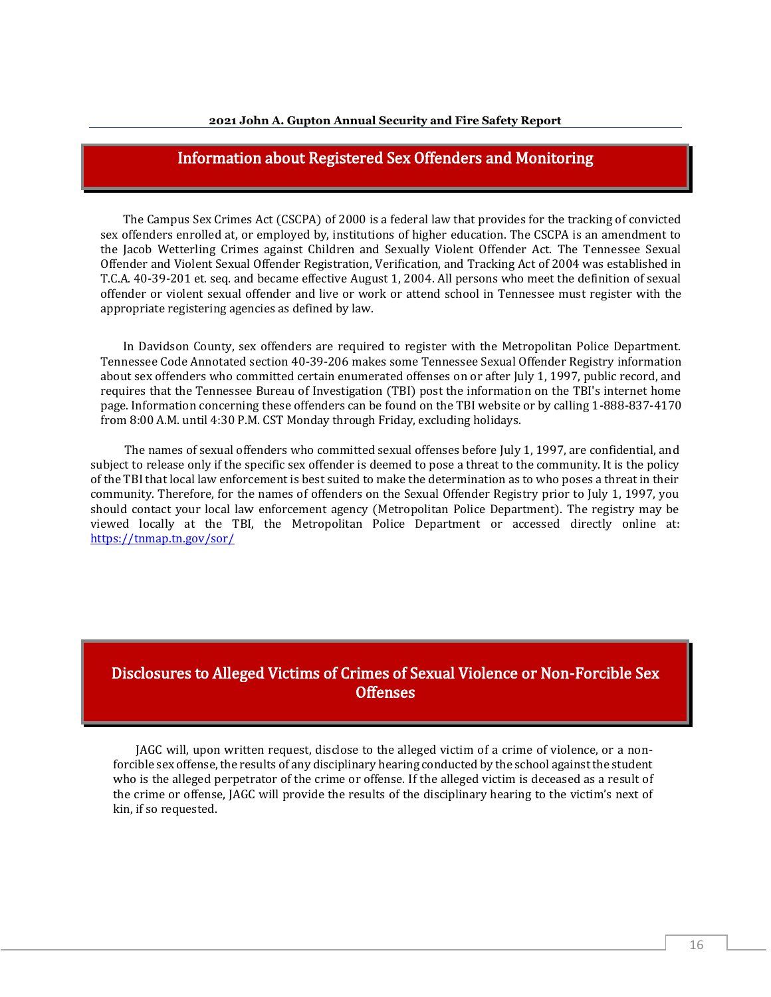## Information about Registered Sex Offenders and Monitoring

The Campus Sex Crimes Act (CSCPA) of 2000 is a federal law that provides for the tracking of convicted sex offenders enrolled at, or employed by, institutions of higher education. The CSCPA is an amendment to the Jacob Wetterling Crimes against Children and Sexually Violent Offender Act. The Tennessee Sexual Offender and Violent Sexual Offender Registration, Verification, and Tracking Act of 2004 was established in T.C.A. 40-39-201 et. seq. and became effective August 1, 2004. All persons who meet the definition of sexual offender or violent sexual offender and live or work or attend school in Tennessee must register with the appropriate registering agencies as defined by law.

In Davidson County, sex offenders are required to register with the Metropolitan Police Department. Tennessee Code Annotated section 40-39-206 makes some Tennessee Sexual Offender Registry information about sex offenders who committed certain enumerated offenses on or after July 1, 1997, public record, and requires that the Tennessee Bureau of Investigation (TBI) post the information on the TBI's internet home page. Information concerning these offenders can be found on the TBI website or by calling 1-888-837-4170 from 8:00 A.M. until 4:30 P.M. CST Monday through Friday, excluding holidays.

The names of sexual offenders who committed sexual offenses before July 1, 1997, are confidential, and subject to release only if the specific sex offender is deemed to pose a threat to the community. It is the policy of the TBI that local law enforcement is best suited to make the determination as to who poses a threat in their community. Therefore, for the names of offenders on the Sexual Offender Registry prior to July 1, 1997, you should contact your local law enforcement agency (Metropolitan Police Department). The registry may be viewed locally at the TBI, the Metropolitan Police Department or accessed directly online at: <https://tnmap.tn.gov/sor/>

## Disclosures to Alleged Victims of Crimes of Sexual Violence or Non-Forcible Sex **Offenses**

JAGC will, upon written request, disclose to the alleged victim of a crime of violence, or a nonforcible sex offense, the results of any disciplinary hearing conducted by the school against the student who is the alleged perpetrator of the crime or offense. If the alleged victim is deceased as a result of the crime or offense, JAGC will provide the results of the disciplinary hearing to the victim's next of kin, if so requested.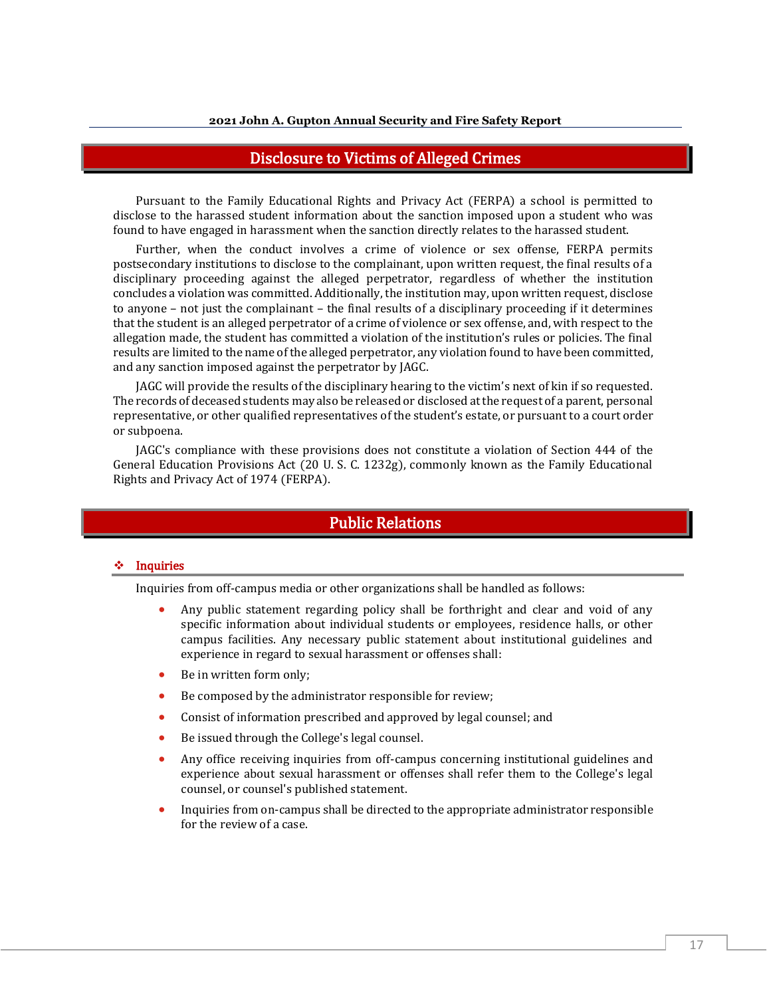## Disclosure to Victims of Alleged Crimes

Pursuant to the Family Educational Rights and Privacy Act (FERPA) a school is permitted to disclose to the harassed student information about the sanction imposed upon a student who was found to have engaged in harassment when the sanction directly relates to the harassed student.

Further, when the conduct involves a crime of violence or sex offense, FERPA permits postsecondary institutions to disclose to the complainant, upon written request, the final results of a disciplinary proceeding against the alleged perpetrator, regardless of whether the institution concludes a violation was committed. Additionally, the institution may, upon written request, disclose to anyone – not just the complainant – the final results of a disciplinary proceeding if it determines that the student is an alleged perpetrator of a crime of violence or sex offense, and, with respect to the allegation made, the student has committed a violation of the institution's rules or policies. The final results are limited to the name of the alleged perpetrator, any violation found to have been committed, and any sanction imposed against the perpetrator by JAGC.

JAGC will provide the results of the disciplinary hearing to the victim's next of kin if so requested. The records of deceased students may also be released or disclosed at the request of a parent, personal representative, or other qualified representatives of the student's estate, or pursuant to a court order or subpoena.

JAGC's compliance with these provisions does not constitute a violation of Section 444 of the General Education Provisions Act (20 U. S. C. 1232g), commonly known as the Family Educational Rights and Privacy Act of 1974 (FERPA).

#### Public Relations

#### ❖ Inquiries

Inquiries from off-campus media or other organizations shall be handled as follows:

- Any public statement regarding policy shall be forthright and clear and void of any specific information about individual students or employees, residence halls, or other campus facilities. Any necessary public statement about institutional guidelines and experience in regard to sexual harassment or offenses shall:
- Be in written form only:
- Be composed by the administrator responsible for review;
- Consist of information prescribed and approved by legal counsel; and
- Be issued through the College's legal counsel.
- Any office receiving inquiries from off-campus concerning institutional guidelines and experience about sexual harassment or offenses shall refer them to the College's legal counsel, or counsel's published statement.
- Inquiries from on-campus shall be directed to the appropriate administrator responsible for the review of a case.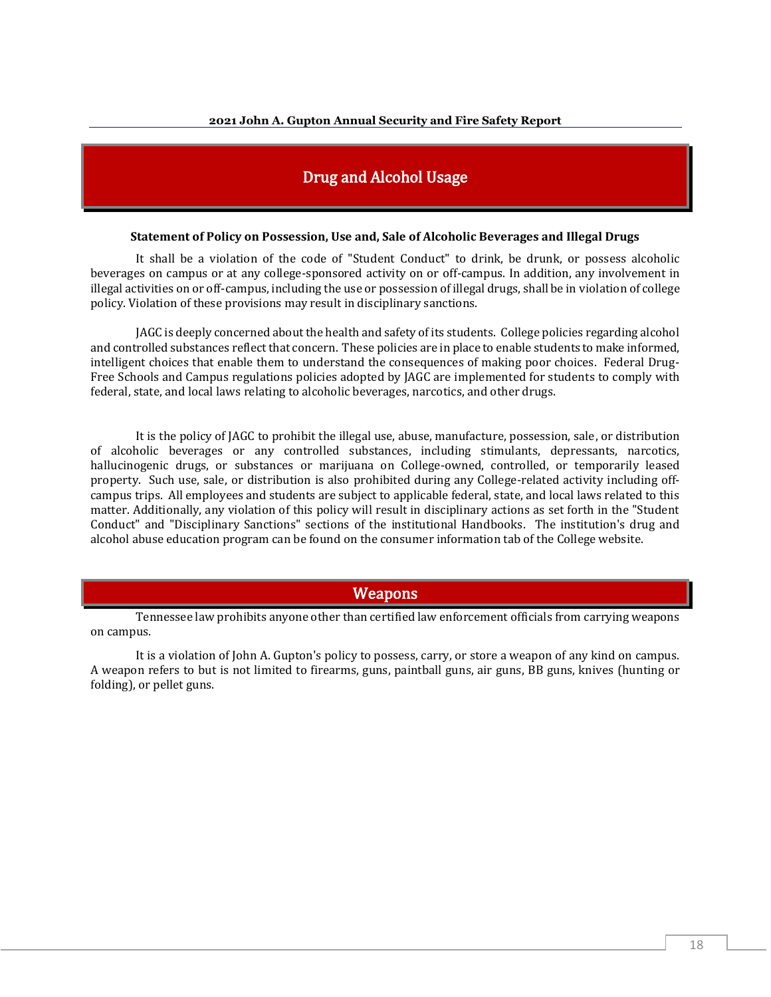## Drug and Alcohol Usage

#### **Statement of Policy on Possession, Use and, Sale of Alcoholic Beverages and Illegal Drugs**

It shall be a violation of the code of "Student Conduct" to drink, be drunk, or possess alcoholic beverages on campus or at any college-sponsored activity on or off-campus. In addition, any involvement in illegal activities on or off-campus, including the use or possession of illegal drugs, shall be in violation of college policy. Violation of these provisions may result in disciplinary sanctions.

JAGC is deeply concerned about the health and safety of its students. College policies regarding alcohol and controlled substances reflect that concern. These policies are in place to enable students to make informed, intelligent choices that enable them to understand the consequences of making poor choices. Federal Drug-Free Schools and Campus regulations policies adopted by JAGC are implemented for students to comply with federal, state, and local laws relating to alcoholic beverages, narcotics, and other drugs.

It is the policy of JAGC to prohibit the illegal use, abuse, manufacture, possession, sale, or distribution of alcoholic beverages or any controlled substances, including stimulants, depressants, narcotics, hallucinogenic drugs, or substances or marijuana on College-owned, controlled, or temporarily leased property. Such use, sale, or distribution is also prohibited during any College-related activity including offcampus trips. All employees and students are subject to applicable federal, state, and local laws related to this matter. Additionally, any violation of this policy will result in disciplinary actions as set forth in the "Student Conduct" and "Disciplinary Sanctions" sections of the institutional Handbooks. The institution's drug and alcohol abuse education program can be found on the consumer information tab of the College website.

#### Weapons

Tennessee law prohibits anyone other than certified law enforcement officials from carrying weapons on campus.

It is a violation of John A. Gupton's policy to possess, carry, or store a weapon of any kind on campus. A weapon refers to but is not limited to firearms, guns, paintball guns, air guns, BB guns, knives (hunting or folding), or pellet guns.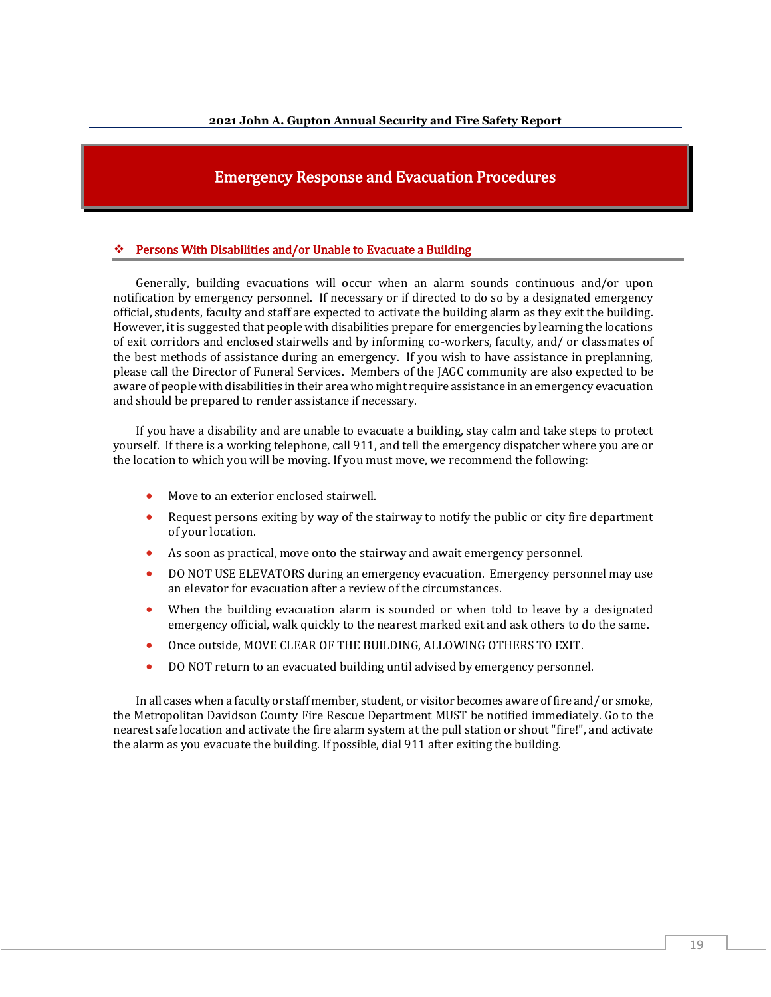## Emergency Response and Evacuation Procedures

#### Persons With Disabilities and/or Unable to Evacuate a Building

Generally, building evacuations will occur when an alarm sounds continuous and/or upon notification by emergency personnel. If necessary or if directed to do so by a designated emergency official, students, faculty and staff are expected to activate the building alarm as they exit the building. However, it is suggested that people with disabilities prepare for emergencies by learning the locations of exit corridors and enclosed stairwells and by informing co-workers, faculty, and/ or classmates of the best methods of assistance during an emergency. If you wish to have assistance in preplanning, please call the Director of Funeral Services. Members of the JAGC community are also expected to be aware of people with disabilities in their area who might require assistance in an emergency evacuation and should be prepared to render assistance if necessary.

If you have a disability and are unable to evacuate a building, stay calm and take steps to protect yourself. If there is a working telephone, call 911, and tell the emergency dispatcher where you are or the location to which you will be moving. If you must move, we recommend the following:

- Move to an exterior enclosed stairwell.
- Request persons exiting by way of the stairway to notify the public or city fire department of your location.
- As soon as practical, move onto the stairway and await emergency personnel.
- DO NOT USE ELEVATORS during an emergency evacuation. Emergency personnel may use an elevator for evacuation after a review of the circumstances.
- When the building evacuation alarm is sounded or when told to leave by a designated emergency official, walk quickly to the nearest marked exit and ask others to do the same.
- Once outside, MOVE CLEAR OF THE BUILDING, ALLOWING OTHERS TO EXIT.
- DO NOT return to an evacuated building until advised by emergency personnel.

In all cases when a faculty or staff member, student, or visitor becomes aware of fire and/ or smoke, the Metropolitan Davidson County Fire Rescue Department MUST be notified immediately. Go to the nearest safe location and activate the fire alarm system at the pull station or shout "fire!", and activate the alarm as you evacuate the building. If possible, dial 911 after exiting the building.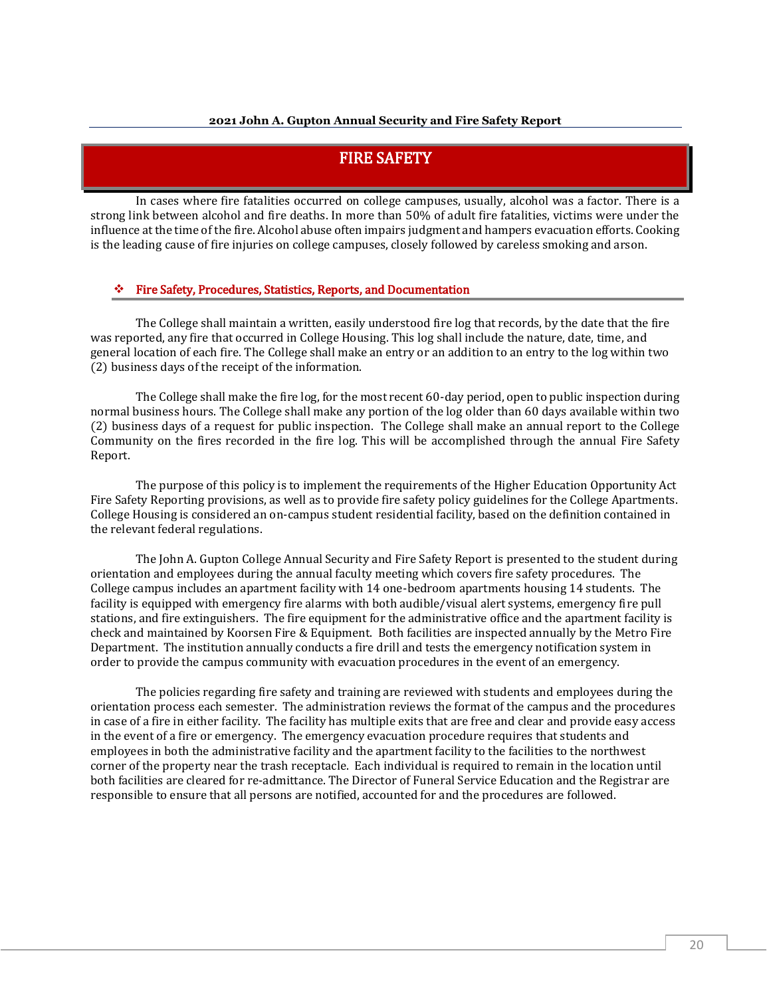## FIRE SAFETY

In cases where fire fatalities occurred on college campuses, usually, alcohol was a factor. There is a strong link between alcohol and fire deaths. In more than 50% of adult fire fatalities, victims were under the influence at the time of the fire. Alcohol abuse often impairs judgment and hampers evacuation efforts. Cooking is the leading cause of fire injuries on college campuses, closely followed by careless smoking and arson.

#### ❖ Fire Safety, Procedures, Statistics, Reports, and Documentation

The College shall maintain a written, easily understood fire log that records, by the date that the fire was reported, any fire that occurred in College Housing. This log shall include the nature, date, time, and general location of each fire. The College shall make an entry or an addition to an entry to the log within two (2) business days of the receipt of the information.

The College shall make the fire log, for the most recent 60-day period, open to public inspection during normal business hours. The College shall make any portion of the log older than 60 days available within two (2) business days of a request for public inspection. The College shall make an annual report to the College Community on the fires recorded in the fire log. This will be accomplished through the annual Fire Safety Report.

The purpose of this policy is to implement the requirements of the Higher Education Opportunity Act Fire Safety Reporting provisions, as well as to provide fire safety policy guidelines for the College Apartments. College Housing is considered an on-campus student residential facility, based on the definition contained in the relevant federal regulations.

The John A. Gupton College Annual Security and Fire Safety Report is presented to the student during orientation and employees during the annual faculty meeting which covers fire safety procedures. The College campus includes an apartment facility with 14 one-bedroom apartments housing 14 students. The facility is equipped with emergency fire alarms with both audible/visual alert systems, emergency fire pull stations, and fire extinguishers. The fire equipment for the administrative office and the apartment facility is check and maintained by Koorsen Fire & Equipment. Both facilities are inspected annually by the Metro Fire Department. The institution annually conducts a fire drill and tests the emergency notification system in order to provide the campus community with evacuation procedures in the event of an emergency.

The policies regarding fire safety and training are reviewed with students and employees during the orientation process each semester. The administration reviews the format of the campus and the procedures in case of a fire in either facility. The facility has multiple exits that are free and clear and provide easy access in the event of a fire or emergency. The emergency evacuation procedure requires that students and employees in both the administrative facility and the apartment facility to the facilities to the northwest corner of the property near the trash receptacle. Each individual is required to remain in the location until both facilities are cleared for re-admittance. The Director of Funeral Service Education and the Registrar are responsible to ensure that all persons are notified, accounted for and the procedures are followed.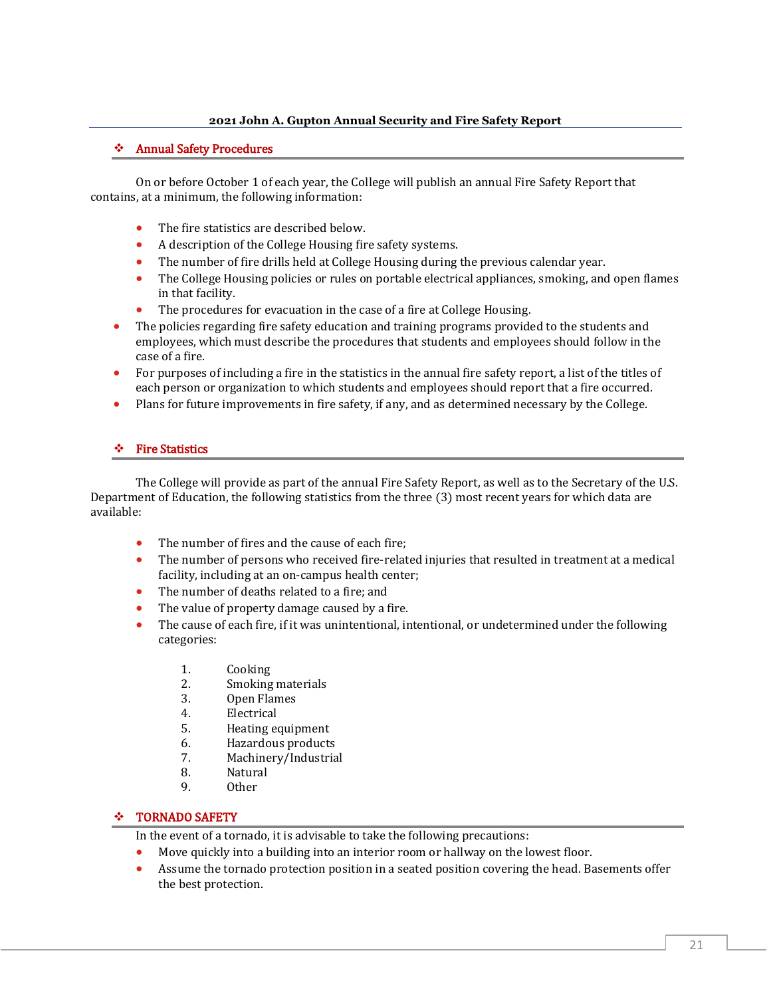#### ❖ Annual Safety Procedures

On or before October 1 of each year, the College will publish an annual Fire Safety Report that contains, at a minimum, the following information:

- The fire statistics are described below.
- A description of the College Housing fire safety systems.
- The number of fire drills held at College Housing during the previous calendar year.
- The College Housing policies or rules on portable electrical appliances, smoking, and open flames in that facility.
- The procedures for evacuation in the case of a fire at College Housing.
- The policies regarding fire safety education and training programs provided to the students and employees, which must describe the procedures that students and employees should follow in the case of a fire.
- For purposes of including a fire in the statistics in the annual fire safety report, a list of the titles of each person or organization to which students and employees should report that a fire occurred.
- Plans for future improvements in fire safety, if any, and as determined necessary by the College.

#### ❖ Fire Statistics

The College will provide as part of the annual Fire Safety Report, as well as to the Secretary of the U.S. Department of Education, the following statistics from the three (3) most recent years for which data are available:

- The number of fires and the cause of each fire:
- The number of persons who received fire-related injuries that resulted in treatment at a medical facility, including at an on-campus health center;
- The number of deaths related to a fire: and
- The value of property damage caused by a fire.
- The cause of each fire, if it was unintentional, intentional, or undetermined under the following categories:
	- 1. Cooking
	- 2. Smoking materials
	- 3. Open Flames
	- 4. Electrical
	- 5. Heating equipment
	- 6. Hazardous products
	- 7. Machinery/Industrial
	- 8. Natural
	- 9. Other

#### ❖ TORNADO SAFETY

In the event of a tornado, it is advisable to take the following precautions:

- Move quickly into a building into an interior room or hallway on the lowest floor.
- Assume the tornado protection position in a seated position covering the head. Basements offer the best protection.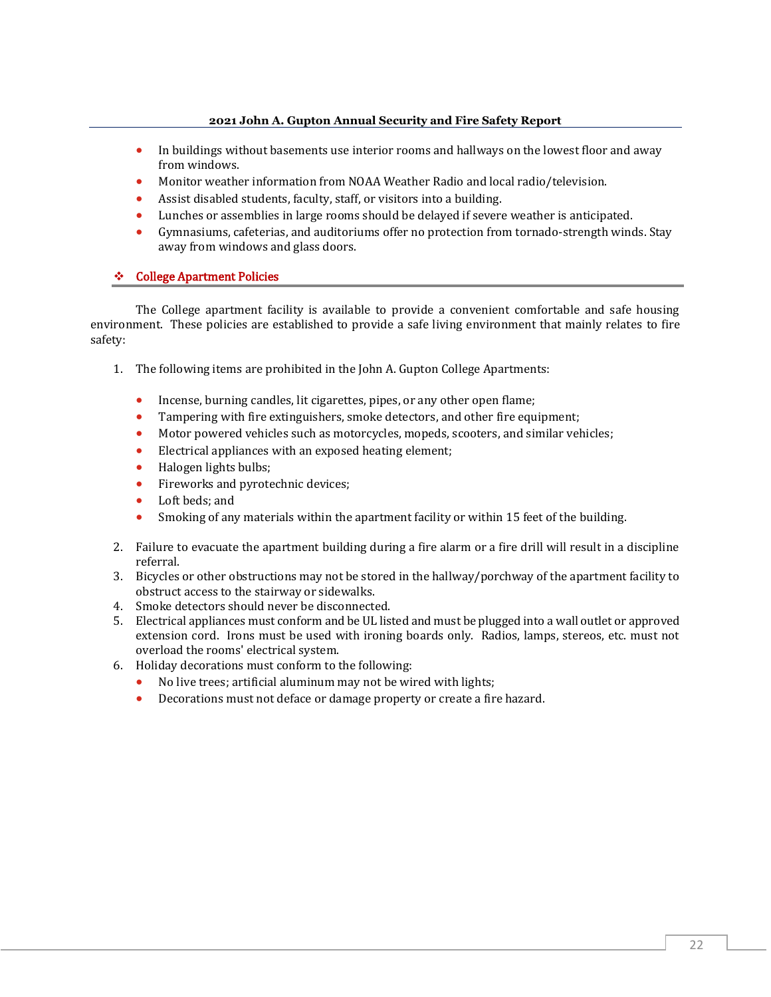- In buildings without basements use interior rooms and hallways on the lowest floor and away from windows.
- Monitor weather information from NOAA Weather Radio and local radio/television.
- Assist disabled students, faculty, staff, or visitors into a building.
- Lunches or assemblies in large rooms should be delayed if severe weather is anticipated.
- Gymnasiums, cafeterias, and auditoriums offer no protection from tornado-strength winds. Stay away from windows and glass doors.

#### ❖ College Apartment Policies

The College apartment facility is available to provide a convenient comfortable and safe housing environment. These policies are established to provide a safe living environment that mainly relates to fire safety:

- 1. The following items are prohibited in the John A. Gupton College Apartments:
	- Incense, burning candles, lit cigarettes, pipes, or any other open flame;
	- Tampering with fire extinguishers, smoke detectors, and other fire equipment;
	- Motor powered vehicles such as motorcycles, mopeds, scooters, and similar vehicles;
	- Electrical appliances with an exposed heating element;
	- Halogen lights bulbs;
	- Fireworks and pyrotechnic devices;
	- Loft beds; and
	- Smoking of any materials within the apartment facility or within 15 feet of the building.
- 2. Failure to evacuate the apartment building during a fire alarm or a fire drill will result in a discipline referral.
- 3. Bicycles or other obstructions may not be stored in the hallway/porchway of the apartment facility to obstruct access to the stairway or sidewalks.
- 4. Smoke detectors should never be disconnected.
- 5. Electrical appliances must conform and be UL listed and must be plugged into a wall outlet or approved extension cord. Irons must be used with ironing boards only. Radios, lamps, stereos, etc. must not overload the rooms' electrical system.
- 6. Holiday decorations must conform to the following:
	- No live trees; artificial aluminum may not be wired with lights;
	- Decorations must not deface or damage property or create a fire hazard.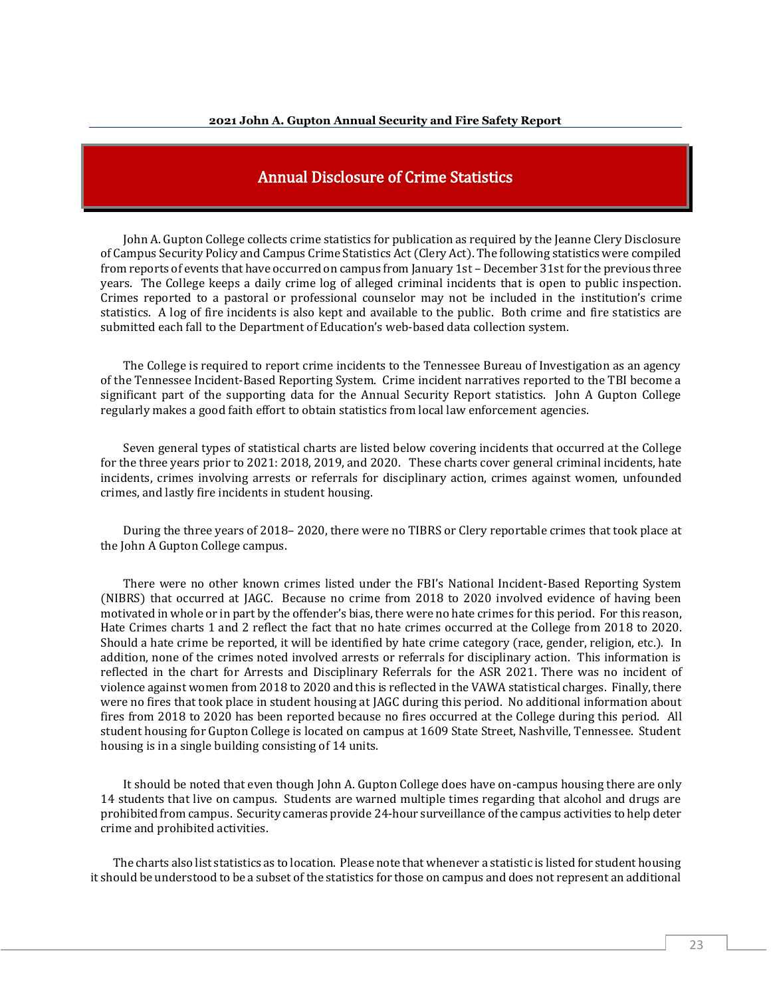## Annual Disclosure of Crime Statistics

John A. Gupton College collects crime statistics for publication as required by the Jeanne Clery Disclosure of Campus Security Policy and Campus Crime Statistics Act (Clery Act). The following statistics were compiled from reports of events that have occurred on campus from January 1st – December 31st for the previous three years. The College keeps a daily crime log of alleged criminal incidents that is open to public inspection. Crimes reported to a pastoral or professional counselor may not be included in the institution's crime statistics. A log of fire incidents is also kept and available to the public. Both crime and fire statistics are submitted each fall to the Department of Education's web-based data collection system.

The College is required to report crime incidents to the Tennessee Bureau of Investigation as an agency of the Tennessee Incident-Based Reporting System. Crime incident narratives reported to the TBI become a significant part of the supporting data for the Annual Security Report statistics. John A Gupton College regularly makes a good faith effort to obtain statistics from local law enforcement agencies.

Seven general types of statistical charts are listed below covering incidents that occurred at the College for the three years prior to 2021: 2018, 2019, and 2020. These charts cover general criminal incidents, hate incidents, crimes involving arrests or referrals for disciplinary action, crimes against women, unfounded crimes, and lastly fire incidents in student housing.

During the three years of 2018– 2020, there were no TIBRS or Clery reportable crimes that took place at the John A Gupton College campus.

There were no other known crimes listed under the FBI's National Incident-Based Reporting System (NIBRS) that occurred at JAGC. Because no crime from 2018 to 2020 involved evidence of having been motivated in whole or in part by the offender's bias, there were no hate crimes for this period. For this reason, Hate Crimes charts 1 and 2 reflect the fact that no hate crimes occurred at the College from 2018 to 2020. Should a hate crime be reported, it will be identified by hate crime category (race, gender, religion, etc.). In addition, none of the crimes noted involved arrests or referrals for disciplinary action. This information is reflected in the chart for Arrests and Disciplinary Referrals for the ASR 2021. There was no incident of violence against women from 2018 to 2020 and this is reflected in the VAWA statistical charges. Finally, there were no fires that took place in student housing at JAGC during this period. No additional information about fires from 2018 to 2020 has been reported because no fires occurred at the College during this period. All student housing for Gupton College is located on campus at 1609 State Street, Nashville, Tennessee. Student housing is in a single building consisting of 14 units.

It should be noted that even though John A. Gupton College does have on-campus housing there are only 14 students that live on campus. Students are warned multiple times regarding that alcohol and drugs are prohibited from campus. Security cameras provide 24-hour surveillance of the campus activities to help deter crime and prohibited activities.

The charts also list statistics as to location. Please note that whenever a statistic is listed for student housing it should be understood to be a subset of the statistics for those on campus and does not represent an additional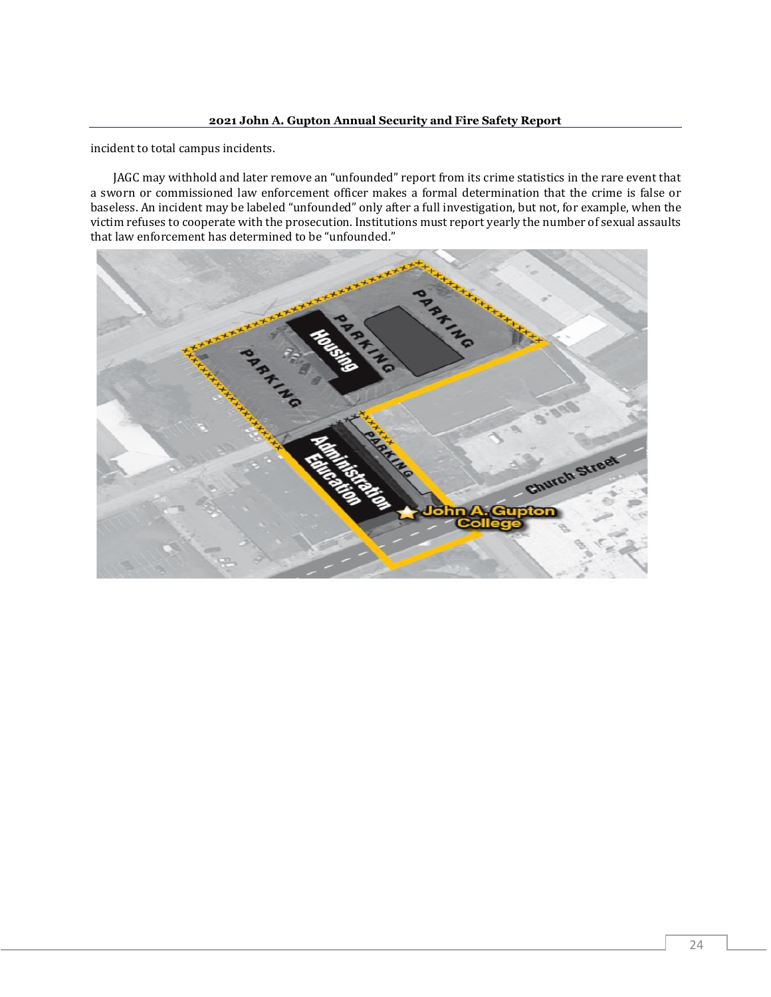incident to total campus incidents.

JAGC may withhold and later remove an "unfounded" report from its crime statistics in the rare event that a sworn or commissioned law enforcement officer makes a formal determination that the crime is false or baseless. An incident may be labeled "unfounded" only after a full investigation, but not, for example, when the victim refuses to cooperate with the prosecution. Institutions must report yearly the number of sexual assaults that law enforcement has determined to be "unfounded."

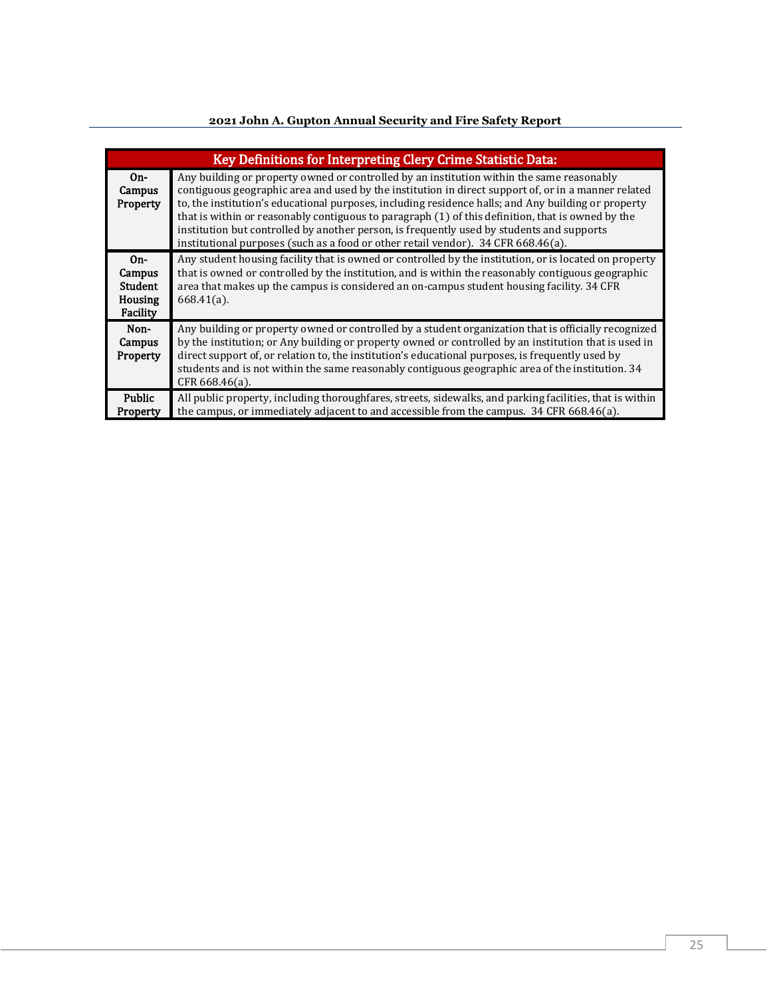|                                                   | Key Definitions for Interpreting Clery Crime Statistic Data:                                                                                                                                                                                                                                                                                                                                                                                                                                                                                                                                   |
|---------------------------------------------------|------------------------------------------------------------------------------------------------------------------------------------------------------------------------------------------------------------------------------------------------------------------------------------------------------------------------------------------------------------------------------------------------------------------------------------------------------------------------------------------------------------------------------------------------------------------------------------------------|
| $On-$<br>Campus<br>Property                       | Any building or property owned or controlled by an institution within the same reasonably<br>contiguous geographic area and used by the institution in direct support of, or in a manner related<br>to, the institution's educational purposes, including residence halls; and Any building or property<br>that is within or reasonably contiguous to paragraph (1) of this definition, that is owned by the<br>institution but controlled by another person, is frequently used by students and supports<br>institutional purposes (such as a food or other retail vendor). 34 CFR 668.46(a). |
| $On-$<br>Campus<br>Student<br>Housing<br>Facility | Any student housing facility that is owned or controlled by the institution, or is located on property<br>that is owned or controlled by the institution, and is within the reasonably contiguous geographic<br>area that makes up the campus is considered an on-campus student housing facility. 34 CFR<br>$668.41(a)$ .                                                                                                                                                                                                                                                                     |
| Non-<br>Campus<br>Property                        | Any building or property owned or controlled by a student organization that is officially recognized<br>by the institution; or Any building or property owned or controlled by an institution that is used in<br>direct support of, or relation to, the institution's educational purposes, is frequently used by<br>students and is not within the same reasonably contiguous geographic area of the institution. 34<br>$CFR 668.46(a)$ .                                                                                                                                                     |
| Public<br>Property                                | All public property, including thoroughfares, streets, sidewalks, and parking facilities, that is within<br>the campus, or immediately adjacent to and accessible from the campus. 34 CFR 668.46(a).                                                                                                                                                                                                                                                                                                                                                                                           |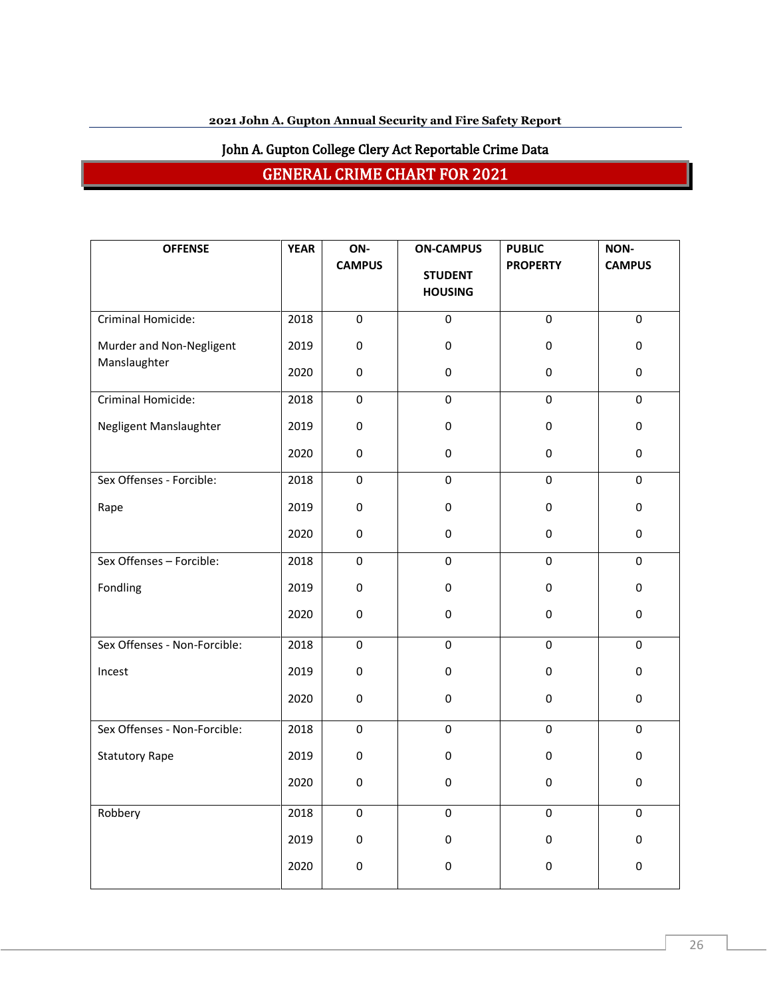# John A. Gupton College Clery Act Reportable Crime Data

GENERAL CRIME CHART FOR 2021

| <b>OFFENSE</b>               | <b>YEAR</b> | ON-<br><b>CAMPUS</b> | <b>ON-CAMPUS</b><br><b>STUDENT</b> | <b>PUBLIC</b><br><b>PROPERTY</b> | NON-<br><b>CAMPUS</b> |
|------------------------------|-------------|----------------------|------------------------------------|----------------------------------|-----------------------|
|                              |             |                      | <b>HOUSING</b>                     |                                  |                       |
| Criminal Homicide:           | 2018        | $\pmb{0}$            | 0                                  | $\mathbf 0$                      | 0                     |
| Murder and Non-Negligent     | 2019        | $\pmb{0}$            | $\pmb{0}$                          | 0                                | $\pmb{0}$             |
| Manslaughter                 | 2020        | 0                    | 0                                  | 0                                | $\pmb{0}$             |
| Criminal Homicide:           | 2018        | $\pmb{0}$            | $\mathbf 0$                        | 0                                | 0                     |
| Negligent Manslaughter       | 2019        | 0                    | $\pmb{0}$                          | 0                                | $\pmb{0}$             |
|                              | 2020        | $\mathsf{O}\xspace$  | $\mathbf 0$                        | $\mathsf{O}\xspace$              | 0                     |
| Sex Offenses - Forcible:     | 2018        | 0                    | $\mathbf 0$                        | 0                                | $\mathbf 0$           |
| Rape                         | 2019        | 0                    | 0                                  | 0                                | 0                     |
|                              | 2020        | $\pmb{0}$            | $\pmb{0}$                          | 0                                | $\pmb{0}$             |
| Sex Offenses - Forcible:     | 2018        | $\pmb{0}$            | 0                                  | 0                                | 0                     |
| Fondling                     | 2019        | $\pmb{0}$            | $\pmb{0}$                          | $\pmb{0}$                        | 0                     |
|                              | 2020        | $\pmb{0}$            | $\pmb{0}$                          | 0                                | 0                     |
| Sex Offenses - Non-Forcible: | 2018        | 0                    | $\mathbf 0$                        | 0                                | $\mathbf 0$           |
| Incest                       | 2019        | 0                    | 0                                  | 0                                | 0                     |
|                              | 2020        | 0                    | $\mathbf 0$                        | 0                                | $\pmb{0}$             |
| Sex Offenses - Non-Forcible: | 2018        | $\pmb{0}$            | $\pmb{0}$                          | $\pmb{0}$                        | 0                     |
| <b>Statutory Rape</b>        | 2019        | $\pmb{0}$            | $\pmb{0}$                          | 0                                | $\pmb{0}$             |
|                              | 2020        | 0                    | $\pmb{0}$                          | 0                                | $\pmb{0}$             |
| Robbery                      | 2018        | 0                    | 0                                  | 0                                | 0                     |
|                              | 2019        | 0                    | $\pmb{0}$                          | 0                                | 0                     |
|                              | 2020        | 0                    | $\pmb{0}$                          | 0                                | $\pmb{0}$             |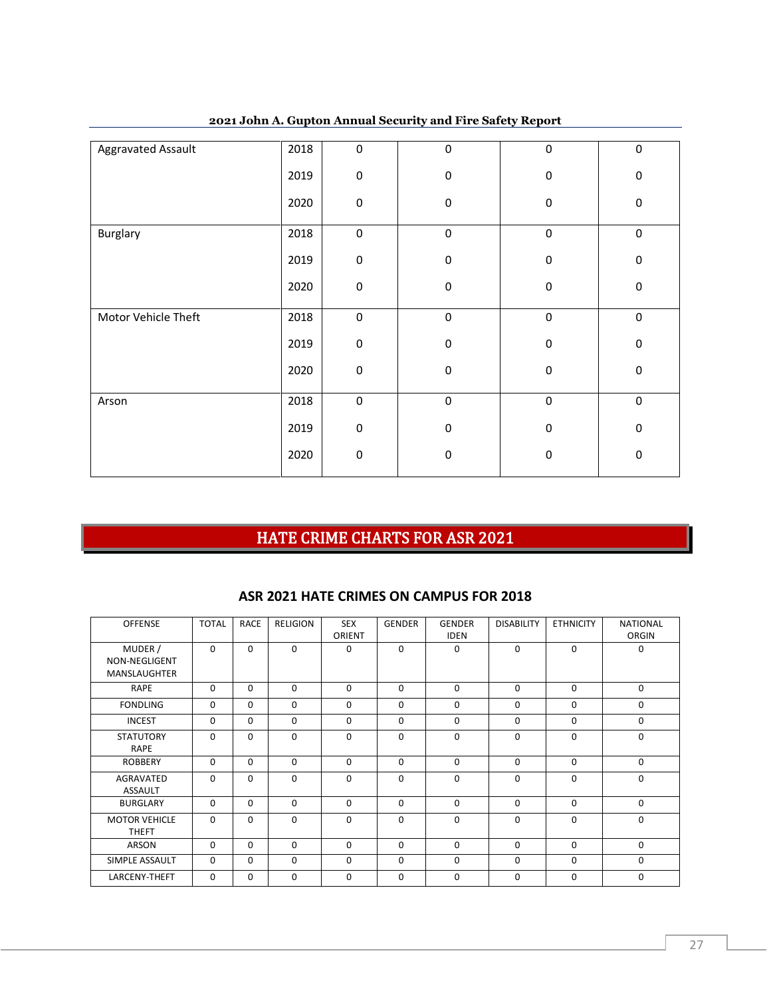| <b>Aggravated Assault</b> | 2018 | 0         | $\mathbf 0$ | 0 | $\mathbf 0$ |
|---------------------------|------|-----------|-------------|---|-------------|
|                           | 2019 | 0         | 0           | 0 | $\mathbf 0$ |
|                           |      |           |             |   |             |
|                           | 2020 | $\pmb{0}$ | 0           | 0 | 0           |
|                           |      |           |             |   |             |
| Burglary                  | 2018 | $\pmb{0}$ | $\pmb{0}$   | 0 | $\mathbf 0$ |
|                           |      |           |             |   |             |
|                           | 2019 | 0         | $\mathbf 0$ | 0 | $\mathbf 0$ |
|                           |      |           |             |   |             |
|                           | 2020 | $\pmb{0}$ | $\pmb{0}$   | 0 | $\pmb{0}$   |
|                           |      |           |             |   |             |
| Motor Vehicle Theft       | 2018 | $\pmb{0}$ | $\pmb{0}$   | 0 | $\pmb{0}$   |
|                           | 2019 | $\pmb{0}$ | $\pmb{0}$   | 0 | $\mathbf 0$ |
|                           |      |           |             |   |             |
|                           | 2020 | 0         | $\pmb{0}$   | 0 | $\pmb{0}$   |
|                           |      |           |             |   |             |
| Arson                     | 2018 | $\pmb{0}$ | $\mathbf 0$ | 0 | $\mathbf 0$ |
|                           |      |           |             |   |             |
|                           | 2019 | 0         | $\mathbf 0$ | 0 | $\mathbf 0$ |
|                           |      |           |             |   |             |
|                           | 2020 | $\pmb{0}$ | $\pmb{0}$   | 0 | $\pmb{0}$   |
|                           |      |           |             |   |             |

**John A. Gupton Annual Security and Fire Safety Report**

# HATE CRIME CHARTS FOR ASR 2021

## **ASR 2021 HATE CRIMES ON CAMPUS FOR 2018**

| <b>OFFENSE</b>                                  | <b>TOTAL</b> | <b>RACE</b> | <b>RELIGION</b> | <b>SEX</b><br>ORIENT | <b>GENDER</b> | <b>GENDER</b><br><b>IDEN</b> | <b>DISABILITY</b> | <b>ETHNICITY</b> | <b>NATIONAL</b><br>ORGIN |
|-------------------------------------------------|--------------|-------------|-----------------|----------------------|---------------|------------------------------|-------------------|------------------|--------------------------|
| MUDER /<br>NON-NEGLIGENT<br><b>MANSLAUGHTER</b> | $\Omega$     | $\Omega$    | $\Omega$        | $\Omega$             | $\Omega$      | $\Omega$                     | 0                 | 0                | 0                        |
| <b>RAPE</b>                                     | $\Omega$     | $\Omega$    | $\Omega$        | $\Omega$             | $\Omega$      | $\Omega$                     | $\Omega$          | $\Omega$         | $\Omega$                 |
| <b>FONDLING</b>                                 | $\Omega$     | $\Omega$    | $\Omega$        | $\Omega$             | $\Omega$      | $\Omega$                     | $\Omega$          | $\Omega$         | $\Omega$                 |
| <b>INCEST</b>                                   | $\Omega$     | $\Omega$    | $\Omega$        | $\Omega$             | $\Omega$      | $\Omega$                     | 0                 | $\Omega$         | 0                        |
| <b>STATUTORY</b><br><b>RAPE</b>                 | 0            | $\mathbf 0$ | 0               | $\mathbf 0$          | 0             | $\mathbf 0$                  | 0                 | 0                | $\mathbf 0$              |
| <b>ROBBERY</b>                                  | $\Omega$     | $\Omega$    | $\Omega$        | $\Omega$             | $\Omega$      | $\Omega$                     | $\Omega$          | $\Omega$         | $\Omega$                 |
| AGRAVATED<br><b>ASSAULT</b>                     | $\Omega$     | $\Omega$    | $\Omega$        | $\Omega$             | $\Omega$      | $\Omega$                     | $\Omega$          | $\Omega$         | $\Omega$                 |
| <b>BURGLARY</b>                                 | $\Omega$     | $\mathbf 0$ | $\mathbf 0$     | $\Omega$             | 0             | $\mathbf 0$                  | 0                 | 0                | $\mathbf 0$              |
| <b>MOTOR VEHICLE</b><br><b>THEFT</b>            | $\Omega$     | $\Omega$    | $\Omega$        | $\Omega$             | $\Omega$      | $\Omega$                     | $\Omega$          | $\Omega$         | $\Omega$                 |
| <b>ARSON</b>                                    | $\Omega$     | $\Omega$    | $\Omega$        | $\Omega$             | $\Omega$      | $\Omega$                     | $\Omega$          | $\Omega$         | $\Omega$                 |
| SIMPLE ASSAULT                                  | $\Omega$     | $\Omega$    | $\Omega$        | $\Omega$             | $\Omega$      | $\mathbf 0$                  | 0                 | 0                | 0                        |
| LARCENY-THEFT                                   | $\Omega$     | $\mathbf 0$ | 0               | $\mathbf{0}$         | 0             | $\mathbf{0}$                 | 0                 | 0                | $\mathbf 0$              |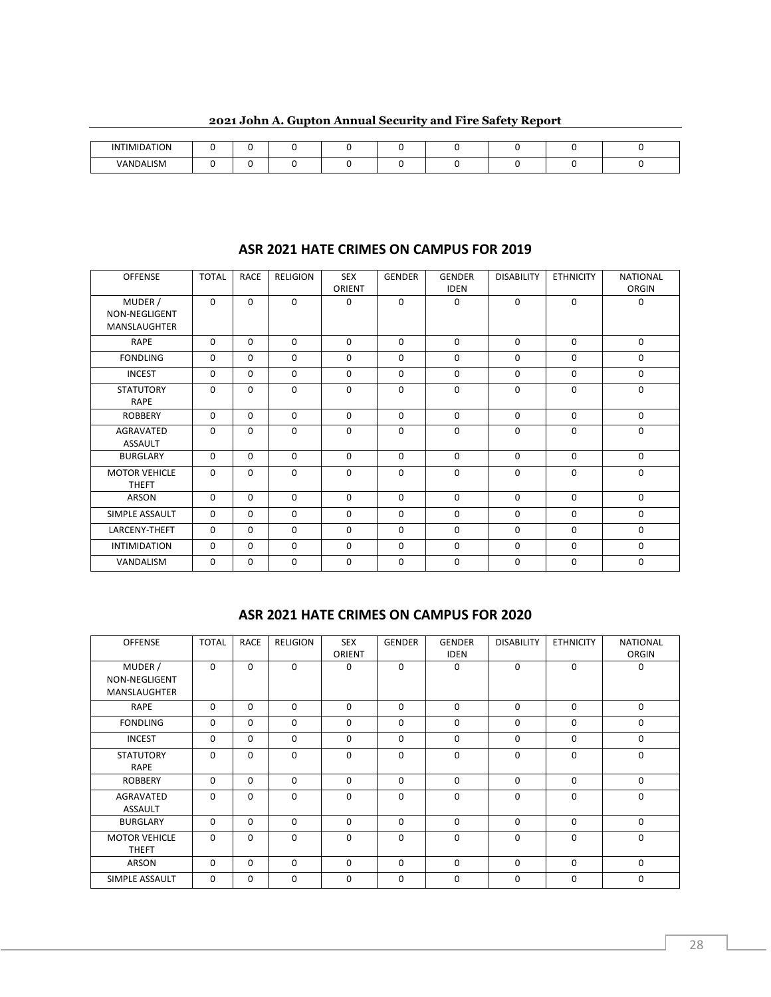| <b>INTIMIDATION</b> |  |  |  |  |  |
|---------------------|--|--|--|--|--|
| VANDALISM           |  |  |  |  |  |

#### **ASR 2021 HATE CRIMES ON CAMPUS FOR 2019**

| <b>OFFENSE</b>                                  | <b>TOTAL</b> | <b>RACE</b> | <b>RELIGION</b> | <b>SEX</b><br>ORIENT | <b>GENDER</b> | <b>GENDER</b><br><b>IDEN</b> | <b>DISABILITY</b> | <b>ETHNICITY</b> | <b>NATIONAL</b><br>ORGIN |
|-------------------------------------------------|--------------|-------------|-----------------|----------------------|---------------|------------------------------|-------------------|------------------|--------------------------|
| MUDER /<br>NON-NEGLIGENT<br><b>MANSLAUGHTER</b> | $\Omega$     | $\Omega$    | $\Omega$        | 0                    | $\Omega$      | $\Omega$                     | $\mathbf 0$       | $\Omega$         | 0                        |
| <b>RAPE</b>                                     | $\Omega$     | $\Omega$    | $\Omega$        | $\Omega$             | $\Omega$      | $\Omega$                     | $\Omega$          | $\Omega$         | $\Omega$                 |
| <b>FONDLING</b>                                 | $\Omega$     | $\Omega$    | $\Omega$        | $\Omega$             | $\Omega$      | $\Omega$                     | $\Omega$          | $\Omega$         | $\mathbf 0$              |
| <b>INCEST</b>                                   | $\Omega$     | $\Omega$    | $\Omega$        | $\Omega$             | $\Omega$      | $\Omega$                     | $\mathbf 0$       | $\Omega$         | $\mathbf 0$              |
| <b>STATUTORY</b><br><b>RAPE</b>                 | $\Omega$     | 0           | $\Omega$        | $\Omega$             | 0             | $\mathbf 0$                  | $\mathbf 0$       | 0                | $\mathbf 0$              |
| <b>ROBBERY</b>                                  | $\Omega$     | $\Omega$    | $\Omega$        | $\Omega$             | $\Omega$      | $\Omega$                     | $\mathbf 0$       | $\Omega$         | $\mathbf 0$              |
| <b>AGRAVATED</b><br><b>ASSAULT</b>              | $\Omega$     | $\Omega$    | $\Omega$        | $\Omega$             | $\Omega$      | $\Omega$                     | $\Omega$          | $\Omega$         | $\Omega$                 |
| <b>BURGLARY</b>                                 | $\Omega$     | $\Omega$    | $\Omega$        | $\Omega$             | $\Omega$      | $\Omega$                     | $\mathbf 0$       | $\Omega$         | $\mathbf 0$              |
| <b>MOTOR VEHICLE</b><br><b>THEFT</b>            | $\Omega$     | $\Omega$    | $\Omega$        | $\Omega$             | $\Omega$      | $\Omega$                     | $\Omega$          | $\Omega$         | $\Omega$                 |
| ARSON                                           | $\Omega$     | $\Omega$    | $\Omega$        | $\Omega$             | $\Omega$      | $\Omega$                     | $\mathbf 0$       | $\Omega$         | $\mathbf 0$              |
| SIMPLE ASSAULT                                  | $\Omega$     | $\Omega$    | $\Omega$        | 0                    | $\Omega$      | $\Omega$                     | $\Omega$          | $\Omega$         | $\mathbf 0$              |
| LARCENY-THEFT                                   | $\Omega$     | 0           | $\Omega$        | $\Omega$             | $\Omega$      | $\Omega$                     | $\mathbf 0$       | $\Omega$         | $\mathbf 0$              |
| <b>INTIMIDATION</b>                             | $\Omega$     | 0           | $\Omega$        | $\Omega$             | $\Omega$      | $\Omega$                     | 0                 | $\Omega$         | $\mathbf 0$              |
| VANDALISM                                       | $\Omega$     | 0           | $\Omega$        | $\Omega$             | $\Omega$      | 0                            | $\mathbf 0$       | $\Omega$         | $\mathbf 0$              |

#### **ASR 2021 HATE CRIMES ON CAMPUS FOR 2020**

| <b>OFFENSE</b>                                  | <b>TOTAL</b> | <b>RACE</b> | <b>RELIGION</b> | <b>SEX</b><br>ORIENT | <b>GENDER</b> | <b>GENDER</b><br><b>IDEN</b> | <b>DISABILITY</b> | <b>ETHNICITY</b> | <b>NATIONAL</b><br>ORGIN |
|-------------------------------------------------|--------------|-------------|-----------------|----------------------|---------------|------------------------------|-------------------|------------------|--------------------------|
| MUDER /<br>NON-NEGLIGENT<br><b>MANSLAUGHTER</b> | $\Omega$     | $\Omega$    | $\Omega$        | $\Omega$             | $\Omega$      | $\Omega$                     | $\Omega$          | $\Omega$         | 0                        |
| <b>RAPE</b>                                     | $\Omega$     | 0           | $\Omega$        | $\Omega$             | $\Omega$      | $\Omega$                     | $\mathbf 0$       | $\Omega$         | 0                        |
| <b>FONDLING</b>                                 | $\Omega$     | $\Omega$    | $\Omega$        | $\Omega$             | $\Omega$      | $\Omega$                     | $\mathbf 0$       | $\Omega$         | $\mathbf 0$              |
| <b>INCEST</b>                                   | $\Omega$     | 0           | $\Omega$        | $\Omega$             | $\Omega$      | $\Omega$                     | $\Omega$          | $\Omega$         | 0                        |
| <b>STATUTORY</b><br><b>RAPE</b>                 | $\mathbf 0$  | 0           | 0               | $\mathbf 0$          | $\mathbf 0$   | $\mathbf 0$                  | $\mathbf 0$       | 0                | 0                        |
| <b>ROBBERY</b>                                  | $\Omega$     | 0           | $\Omega$        | $\Omega$             | $\Omega$      | $\Omega$                     | $\Omega$          | $\Omega$         | 0                        |
| <b>AGRAVATED</b><br><b>ASSAULT</b>              | $\Omega$     | 0           | $\Omega$        | $\Omega$             | 0             | $\mathbf 0$                  | $\mathbf 0$       | 0                | $\mathbf 0$              |
| <b>BURGLARY</b>                                 | $\Omega$     | 0           | $\Omega$        | $\Omega$             | $\Omega$      | $\Omega$                     | $\mathbf 0$       | $\Omega$         | 0                        |
| <b>MOTOR VEHICLE</b><br><b>THEFT</b>            | $\mathbf 0$  | 0           | 0               | $\mathbf 0$          | $\mathbf 0$   | $\mathbf 0$                  | $\mathbf 0$       | 0                | $\mathbf 0$              |
| <b>ARSON</b>                                    | $\Omega$     | $\Omega$    | $\Omega$        | $\Omega$             | $\Omega$      | $\Omega$                     | $\Omega$          | $\Omega$         | 0                        |
| SIMPLE ASSAULT                                  | $\mathbf 0$  | 0           | 0               | $\mathbf 0$          | $\mathbf 0$   | $\mathbf 0$                  | $\mathbf 0$       | 0                | 0                        |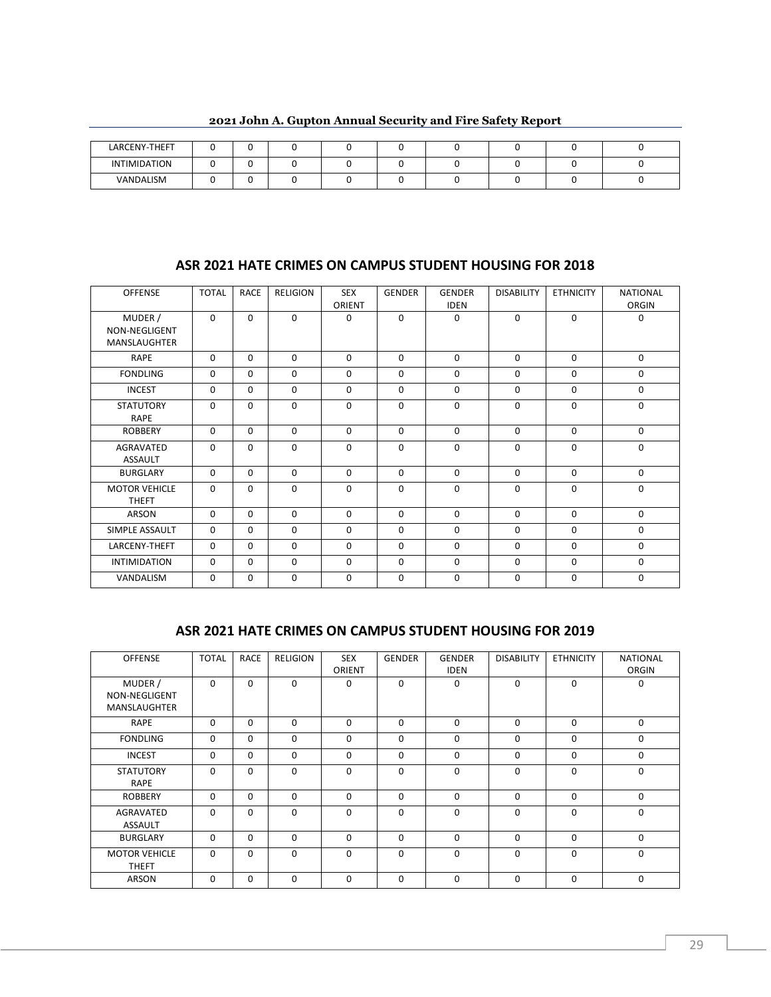| LARCENY-THEFT |  |  |  |  |  |
|---------------|--|--|--|--|--|
| INTIMIDATION  |  |  |  |  |  |
| VANDALISM     |  |  |  |  |  |

**2021 John A. Gupton Annual Security and Fire Safety Report**

## **ASR 2021 HATE CRIMES ON CAMPUS STUDENT HOUSING FOR 2018**

| <b>OFFENSE</b>                                  | <b>TOTAL</b> | <b>RACE</b> | <b>RELIGION</b> | <b>SEX</b> | <b>GENDER</b> | <b>GENDER</b> | <b>DISABILITY</b> | <b>ETHNICITY</b> | <b>NATIONAL</b> |
|-------------------------------------------------|--------------|-------------|-----------------|------------|---------------|---------------|-------------------|------------------|-----------------|
|                                                 |              |             |                 | ORIENT     |               | <b>IDEN</b>   |                   |                  | ORGIN           |
| MUDER /<br>NON-NEGLIGENT<br><b>MANSLAUGHTER</b> | $\Omega$     | $\Omega$    | $\Omega$        | $\Omega$   | $\Omega$      | $\Omega$      | $\Omega$          | $\Omega$         | $\Omega$        |
| <b>RAPE</b>                                     | $\Omega$     | $\Omega$    | $\Omega$        | $\Omega$   | $\Omega$      | $\Omega$      | $\Omega$          | $\Omega$         | $\Omega$        |
| <b>FONDLING</b>                                 | $\Omega$     | $\Omega$    | $\Omega$        | $\Omega$   | $\Omega$      | $\Omega$      | 0                 | $\Omega$         | $\Omega$        |
| <b>INCEST</b>                                   | $\Omega$     | $\Omega$    | $\Omega$        | $\Omega$   | $\Omega$      | $\Omega$      | 0                 | $\Omega$         | $\Omega$        |
| <b>STATUTORY</b><br><b>RAPE</b>                 | $\Omega$     | $\Omega$    | $\Omega$        | $\Omega$   | $\Omega$      | $\Omega$      | $\Omega$          | $\Omega$         | $\Omega$        |
| <b>ROBBERY</b>                                  | $\Omega$     | $\Omega$    | $\Omega$        | $\Omega$   | $\Omega$      | $\Omega$      | $\Omega$          | $\Omega$         | $\Omega$        |
| AGRAVATED<br><b>ASSAULT</b>                     | $\Omega$     | $\mathbf 0$ | $\Omega$        | $\Omega$   | $\Omega$      | $\Omega$      | 0                 | $\Omega$         | $\Omega$        |
| <b>BURGLARY</b>                                 | $\Omega$     | $\Omega$    | $\Omega$        | $\Omega$   | $\Omega$      | $\Omega$      | $\Omega$          | $\Omega$         | $\mathbf 0$     |
| <b>MOTOR VEHICLE</b><br><b>THEFT</b>            | $\Omega$     | $\Omega$    | $\Omega$        | $\Omega$   | $\Omega$      | $\Omega$      | 0                 | 0                | $\Omega$        |
| <b>ARSON</b>                                    | $\Omega$     | $\Omega$    | $\Omega$        | $\Omega$   | $\Omega$      | $\mathbf 0$   | 0                 | $\Omega$         | $\mathbf 0$     |
| SIMPLE ASSAULT                                  | $\Omega$     | $\Omega$    | $\Omega$        | $\Omega$   | $\Omega$      | $\Omega$      | 0                 | $\Omega$         | $\mathbf 0$     |
| LARCENY-THEFT                                   | $\Omega$     | $\Omega$    | $\Omega$        | $\Omega$   | $\Omega$      | $\Omega$      | $\Omega$          | $\Omega$         | $\Omega$        |
| <b>INTIMIDATION</b>                             | $\Omega$     | $\Omega$    | $\Omega$        | $\Omega$   | $\Omega$      | $\Omega$      | 0                 | $\Omega$         | 0               |
| VANDALISM                                       | $\mathbf 0$  | 0           | $\Omega$        | $\Omega$   | 0             | $\Omega$      | 0                 | 0                | $\Omega$        |

#### **ASR 2021 HATE CRIMES ON CAMPUS STUDENT HOUSING FOR 2019**

| <b>OFFENSE</b>                                  | <b>TOTAL</b> | <b>RACE</b> | <b>RELIGION</b> | <b>SEX</b><br>ORIENT | <b>GENDER</b> | <b>GENDER</b><br><b>IDEN</b> | <b>DISABILITY</b> | <b>ETHNICITY</b> | <b>NATIONAL</b><br>ORGIN |
|-------------------------------------------------|--------------|-------------|-----------------|----------------------|---------------|------------------------------|-------------------|------------------|--------------------------|
| MUDER /<br>NON-NEGLIGENT<br><b>MANSLAUGHTER</b> | $\Omega$     | $\Omega$    | $\Omega$        | $\Omega$             | $\Omega$      | 0                            | $\Omega$          | $\Omega$         | $\mathbf 0$              |
| <b>RAPE</b>                                     | $\Omega$     | 0           | 0               | $\Omega$             | $\Omega$      | $\Omega$                     | $\Omega$          | $\Omega$         | 0                        |
| <b>FONDLING</b>                                 | $\Omega$     | $\Omega$    | $\Omega$        | $\Omega$             | $\Omega$      | $\mathbf 0$                  | $\mathbf 0$       | $\Omega$         | $\mathbf 0$              |
| <b>INCEST</b>                                   | $\Omega$     | $\Omega$    | $\Omega$        | $\Omega$             | $\Omega$      | $\Omega$                     | $\Omega$          | $\Omega$         | 0                        |
| <b>STATUTORY</b><br><b>RAPE</b>                 | $\Omega$     | $\Omega$    | $\Omega$        | $\Omega$             | $\Omega$      | $\Omega$                     | $\Omega$          | $\Omega$         | $\Omega$                 |
| <b>ROBBERY</b>                                  | $\Omega$     | $\Omega$    | $\Omega$        | $\Omega$             | $\Omega$      | $\Omega$                     | $\Omega$          | $\Omega$         | 0                        |
| AGRAVATED<br><b>ASSAULT</b>                     | $\Omega$     | 0           | 0               | $\Omega$             | $\Omega$      | $\Omega$                     | $\Omega$          | $\Omega$         | 0                        |
| <b>BURGLARY</b>                                 | $\Omega$     | 0           | 0               | $\Omega$             | $\Omega$      | $\Omega$                     | $\Omega$          | $\Omega$         | 0                        |
| <b>MOTOR VEHICLE</b><br><b>THEFT</b>            | $\Omega$     | $\Omega$    | $\Omega$        | $\Omega$             | $\Omega$      | $\Omega$                     | $\Omega$          | $\Omega$         | 0                        |
| <b>ARSON</b>                                    | 0            | $\Omega$    | $\Omega$        | $\Omega$             | $\Omega$      | $\Omega$                     | $\Omega$          | $\Omega$         | 0                        |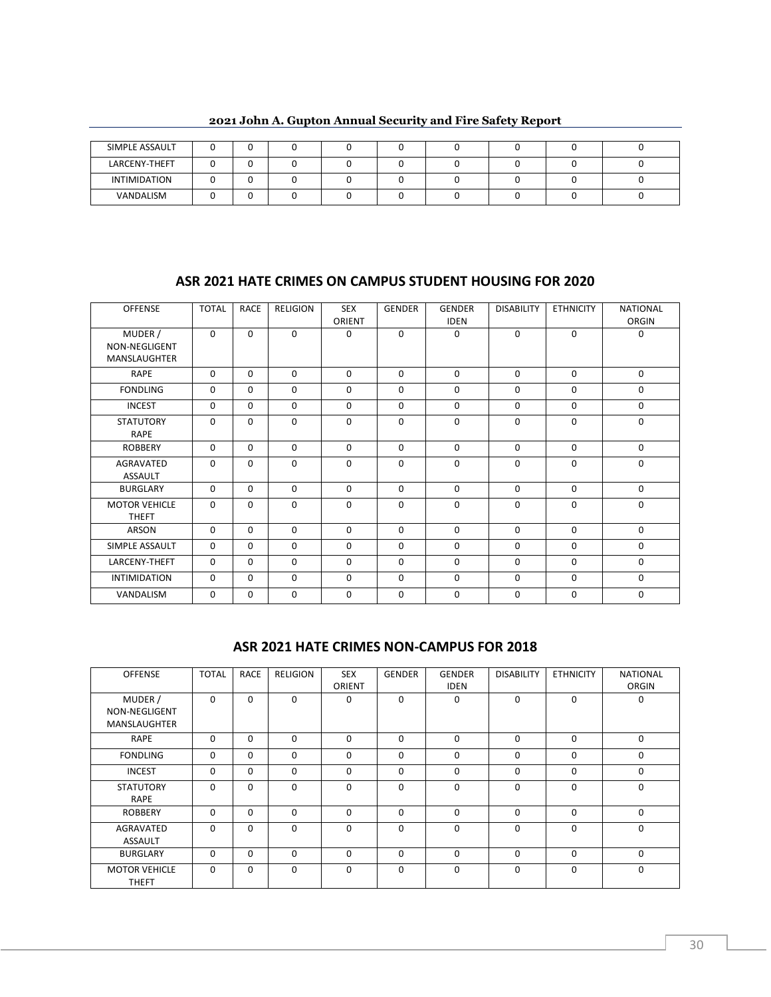| SIMPLE ASSAULT |  |  |  |  |  |
|----------------|--|--|--|--|--|
| LARCENY-THEFT  |  |  |  |  |  |
| INTIMIDATION   |  |  |  |  |  |
| VANDALISM      |  |  |  |  |  |

**2021 John A. Gupton Annual Security and Fire Safety Report**

## **ASR 2021 HATE CRIMES ON CAMPUS STUDENT HOUSING FOR 2020**

| <b>OFFENSE</b>                                  | <b>TOTAL</b> | <b>RACE</b> | <b>RELIGION</b> | <b>SEX</b>  | <b>GENDER</b> | <b>GENDER</b> | <b>DISABILITY</b> | <b>ETHNICITY</b> | <b>NATIONAL</b> |
|-------------------------------------------------|--------------|-------------|-----------------|-------------|---------------|---------------|-------------------|------------------|-----------------|
|                                                 |              |             |                 | ORIENT      |               | <b>IDEN</b>   |                   |                  | ORGIN           |
| MUDER /<br>NON-NEGLIGENT<br><b>MANSLAUGHTER</b> | $\Omega$     | $\Omega$    | $\Omega$        | 0           | $\Omega$      | $\Omega$      | $\Omega$          | $\Omega$         | $\Omega$        |
| <b>RAPE</b>                                     | $\Omega$     | $\Omega$    | $\Omega$        | $\Omega$    | $\Omega$      | $\Omega$      | $\Omega$          | $\Omega$         | $\mathbf 0$     |
| <b>FONDLING</b>                                 | $\Omega$     | $\Omega$    | $\Omega$        | $\Omega$    | $\Omega$      | $\Omega$      | $\Omega$          | $\Omega$         | $\mathbf 0$     |
| <b>INCEST</b>                                   | $\Omega$     | $\Omega$    | $\Omega$        | $\Omega$    | $\Omega$      | $\Omega$      | $\Omega$          | $\Omega$         | $\mathbf 0$     |
| <b>STATUTORY</b><br><b>RAPE</b>                 | $\mathbf 0$  | 0           | 0               | 0           | 0             | $\mathbf 0$   | $\mathbf 0$       | $\mathbf 0$      | $\mathbf 0$     |
| <b>ROBBERY</b>                                  | $\Omega$     | 0           | $\mathbf 0$     | $\mathbf 0$ | $\Omega$      | $\mathbf 0$   | $\mathbf 0$       | $\mathbf 0$      | $\mathbf 0$     |
| AGRAVATED<br><b>ASSAULT</b>                     | $\Omega$     | 0           | 0               | 0           | 0             | $\mathbf 0$   | $\mathbf 0$       | $\mathbf 0$      | $\mathbf 0$     |
| <b>BURGLARY</b>                                 | $\Omega$     | $\Omega$    | 0               | $\Omega$    | $\Omega$      | $\mathbf 0$   | $\mathbf 0$       | $\Omega$         | $\mathbf 0$     |
| <b>MOTOR VEHICLE</b><br><b>THEFT</b>            | $\Omega$     | $\Omega$    | $\Omega$        | $\Omega$    | $\Omega$      | $\Omega$      | $\Omega$          | $\Omega$         | $\Omega$        |
| ARSON                                           | $\Omega$     | $\Omega$    | $\Omega$        | $\Omega$    | $\Omega$      | $\Omega$      | $\mathbf 0$       | $\Omega$         | $\mathbf 0$     |
| SIMPLE ASSAULT                                  | $\Omega$     | $\Omega$    | $\Omega$        | $\Omega$    | $\Omega$      | $\Omega$      | $\Omega$          | $\Omega$         | $\Omega$        |
| LARCENY-THEFT                                   | $\Omega$     | $\Omega$    | $\Omega$        | $\Omega$    | $\Omega$      | $\Omega$      | $\Omega$          | $\Omega$         | $\Omega$        |
| <b>INTIMIDATION</b>                             | $\Omega$     | $\Omega$    | $\Omega$        | $\Omega$    | $\Omega$      | $\Omega$      | $\Omega$          | $\Omega$         | $\Omega$        |
| VANDALISM                                       | $\mathbf 0$  | 0           | $\mathbf 0$     | 0           | $\mathbf 0$   | $\mathbf 0$   | $\mathbf 0$       | $\mathbf 0$      | $\mathbf 0$     |

#### **ASR 2021 HATE CRIMES NON-CAMPUS FOR 2018**

| <b>OFFENSE</b>                                  | <b>TOTAL</b> | <b>RACE</b> | <b>RELIGION</b> | <b>SEX</b><br>ORIENT | <b>GENDER</b> | <b>GENDER</b><br><b>IDEN</b> | <b>DISABILITY</b> | <b>ETHNICITY</b> | <b>NATIONAL</b><br>ORGIN |
|-------------------------------------------------|--------------|-------------|-----------------|----------------------|---------------|------------------------------|-------------------|------------------|--------------------------|
| MUDER /<br>NON-NEGLIGENT<br><b>MANSLAUGHTER</b> | 0            | 0           | $\Omega$        | $\Omega$             | $\Omega$      | $\Omega$                     | 0                 | 0                | 0                        |
| <b>RAPE</b>                                     | $\Omega$     | $\Omega$    | $\Omega$        | $\Omega$             | $\Omega$      | $\Omega$                     | $\mathbf 0$       | $\Omega$         | 0                        |
| <b>FONDLING</b>                                 | $\Omega$     | 0           | $\Omega$        | $\Omega$             | $\Omega$      | $\Omega$                     | $\mathbf 0$       | 0                | 0                        |
| <b>INCEST</b>                                   | $\mathbf 0$  | 0           | $\Omega$        | $\Omega$             | $\Omega$      | 0                            | 0                 | 0                | 0                        |
| <b>STATUTORY</b><br><b>RAPE</b>                 | $\Omega$     | $\Omega$    | $\Omega$        | $\Omega$             | $\Omega$      | $\Omega$                     | $\Omega$          | $\Omega$         | 0                        |
| <b>ROBBERY</b>                                  | $\Omega$     | $\Omega$    | $\Omega$        | $\Omega$             | $\Omega$      | $\Omega$                     | $\mathbf{0}$      | 0                | 0                        |
| AGRAVATED<br><b>ASSAULT</b>                     | $\Omega$     | $\Omega$    | $\Omega$        | $\Omega$             | $\Omega$      | $\Omega$                     | $\Omega$          | $\Omega$         | 0                        |
| <b>BURGLARY</b>                                 | $\Omega$     | 0           | $\Omega$        | $\Omega$             | $\Omega$      | $\Omega$                     | $\Omega$          | $\Omega$         | 0                        |
| <b>MOTOR VEHICLE</b><br><b>THEFT</b>            | $\Omega$     | $\Omega$    | $\Omega$        | $\Omega$             | $\Omega$      | $\Omega$                     | $\Omega$          | $\Omega$         | $\Omega$                 |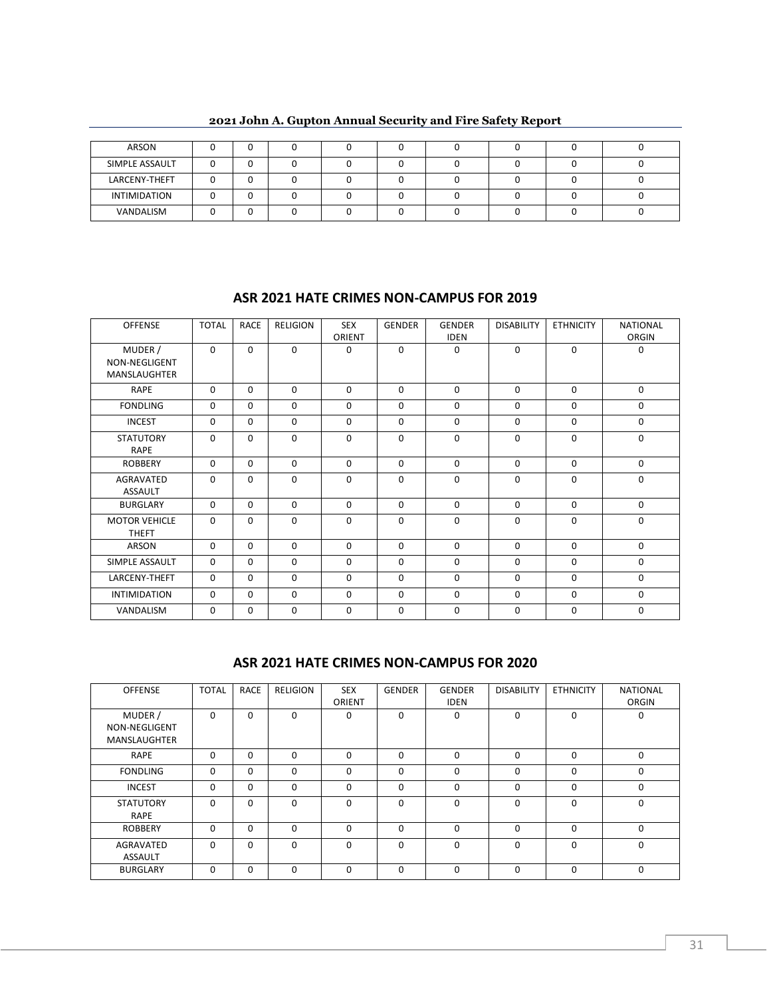| ARSON               | ື |  |  |  |  |
|---------------------|---|--|--|--|--|
| SIMPLE ASSAULT      | u |  |  |  |  |
| LARCENY-THEFT       | ື |  |  |  |  |
| <b>INTIMIDATION</b> |   |  |  |  |  |
| VANDALISM           |   |  |  |  |  |

**2021 John A. Gupton Annual Security and Fire Safety Report**

#### **ASR 2021 HATE CRIMES NON-CAMPUS FOR 2019**

| <b>OFFENSE</b>                                  | <b>TOTAL</b> | <b>RACE</b> | <b>RELIGION</b> | <b>SEX</b><br>ORIENT | <b>GENDER</b> | <b>GENDER</b><br><b>IDEN</b> | <b>DISABILITY</b> | <b>ETHNICITY</b> | <b>NATIONAL</b><br>ORGIN |
|-------------------------------------------------|--------------|-------------|-----------------|----------------------|---------------|------------------------------|-------------------|------------------|--------------------------|
| MUDER /<br>NON-NEGLIGENT<br><b>MANSLAUGHTER</b> | $\Omega$     | 0           | $\Omega$        | $\Omega$             | $\Omega$      | $\Omega$                     | $\mathbf 0$       | $\Omega$         | $\mathbf 0$              |
| <b>RAPE</b>                                     | $\Omega$     | $\Omega$    | 0               | $\Omega$             | $\Omega$      | $\Omega$                     | $\mathbf 0$       | $\Omega$         | $\mathbf 0$              |
| <b>FONDLING</b>                                 | $\Omega$     | $\Omega$    | 0               | $\Omega$             | $\Omega$      | $\Omega$                     | $\mathbf 0$       | $\Omega$         | $\mathbf 0$              |
| <b>INCEST</b>                                   | $\Omega$     | $\Omega$    | $\Omega$        | $\Omega$             | $\Omega$      | $\Omega$                     | $\mathbf 0$       | $\Omega$         | $\mathbf 0$              |
| <b>STATUTORY</b><br><b>RAPE</b>                 | $\Omega$     | $\Omega$    | $\Omega$        | $\Omega$             | $\Omega$      | $\Omega$                     | $\Omega$          | $\Omega$         | $\Omega$                 |
| <b>ROBBERY</b>                                  | $\Omega$     | $\Omega$    | $\Omega$        | $\Omega$             | $\Omega$      | $\Omega$                     | $\Omega$          | $\Omega$         | $\mathbf 0$              |
| AGRAVATED<br><b>ASSAULT</b>                     | $\Omega$     | $\Omega$    | $\Omega$        | $\Omega$             | $\Omega$      | $\Omega$                     | $\Omega$          | $\Omega$         | $\Omega$                 |
| <b>BURGLARY</b>                                 | $\Omega$     | $\Omega$    | $\Omega$        | $\Omega$             | $\Omega$      | $\Omega$                     | $\mathbf 0$       | $\Omega$         | $\mathbf 0$              |
| <b>MOTOR VEHICLE</b><br><b>THEFT</b>            | $\Omega$     | $\Omega$    | $\Omega$        | $\Omega$             | $\Omega$      | $\Omega$                     | $\Omega$          | $\Omega$         | $\Omega$                 |
| ARSON                                           | $\Omega$     | 0           | $\Omega$        | $\Omega$             | $\Omega$      | $\Omega$                     | $\Omega$          | $\Omega$         | $\mathbf 0$              |
| SIMPLE ASSAULT                                  | $\Omega$     | $\Omega$    | $\Omega$        | $\Omega$             | $\Omega$      | $\Omega$                     | $\Omega$          | $\Omega$         | $\Omega$                 |
| <b>LARCENY-THEFT</b>                            | $\Omega$     | $\Omega$    | $\Omega$        | $\Omega$             | $\Omega$      | $\Omega$                     | $\Omega$          | $\Omega$         | $\mathbf 0$              |
| <b>INTIMIDATION</b>                             | $\Omega$     | $\Omega$    | 0               | $\Omega$             | $\Omega$      | $\Omega$                     | $\Omega$          | $\Omega$         | $\Omega$                 |
| VANDALISM                                       | $\Omega$     | 0           | $\Omega$        | $\Omega$             | $\Omega$      | $\Omega$                     | $\Omega$          | $\Omega$         | $\mathbf 0$              |

#### **ASR 2021 HATE CRIMES NON-CAMPUS FOR 2020**

| <b>OFFENSE</b>                                  | <b>TOTAL</b> | <b>RACE</b> | <b>RELIGION</b> | <b>SEX</b><br>ORIENT | <b>GENDER</b> | <b>GENDER</b><br><b>IDEN</b> | <b>DISABILITY</b> | <b>ETHNICITY</b> | <b>NATIONAL</b><br>ORGIN |
|-------------------------------------------------|--------------|-------------|-----------------|----------------------|---------------|------------------------------|-------------------|------------------|--------------------------|
| MUDER /<br>NON-NEGLIGENT<br><b>MANSLAUGHTER</b> | $\Omega$     | $\Omega$    | $\Omega$        | 0                    | $\Omega$      | $\Omega$                     | $\Omega$          | $\Omega$         | 0                        |
| RAPE                                            | 0            | 0           | 0               | $\Omega$             | $\Omega$      | $\mathbf{0}$                 | $\Omega$          | $\Omega$         | 0                        |
| <b>FONDLING</b>                                 | 0            | 0           | 0               | $\Omega$             | 0             | 0                            | $\Omega$          | $\Omega$         | 0                        |
| <b>INCEST</b>                                   | 0            | $\Omega$    | 0               | 0                    | $\Omega$      | $\Omega$                     | $\Omega$          | $\Omega$         | 0                        |
| <b>STATUTORY</b><br>RAPE                        | $\Omega$     | $\Omega$    | $\Omega$        | $\Omega$             | $\Omega$      | $\Omega$                     | $\Omega$          | $\Omega$         | 0                        |
| <b>ROBBERY</b>                                  | 0            | 0           | 0               | 0                    | $\Omega$      | 0                            | $\Omega$          | $\Omega$         | 0                        |
| AGRAVATED<br><b>ASSAULT</b>                     | 0            | 0           | 0               | 0                    | $\Omega$      | 0                            | $\Omega$          | $\Omega$         | 0                        |
| <b>BURGLARY</b>                                 | $\Omega$     | 0           | $\Omega$        | $\Omega$             | $\Omega$      | $\Omega$                     | $\Omega$          | $\Omega$         | $\Omega$                 |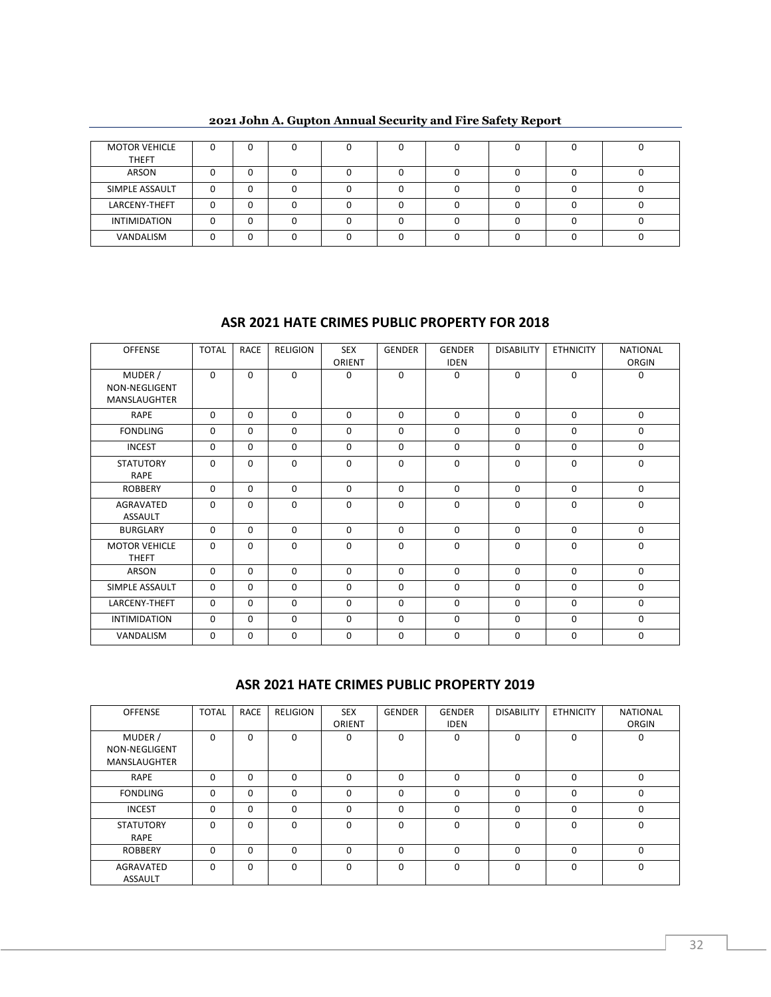| <b>MOTOR VEHICLE</b><br><b>THEFT</b> |  |  |  |  |  |
|--------------------------------------|--|--|--|--|--|
| ARSON                                |  |  |  |  |  |
| SIMPLE ASSAULT                       |  |  |  |  |  |
| LARCENY-THEFT                        |  |  |  |  |  |
| <b>INTIMIDATION</b>                  |  |  |  |  |  |
| VANDALISM                            |  |  |  |  |  |

## **ASR 2021 HATE CRIMES PUBLIC PROPERTY FOR 2018**

| <b>OFFENSE</b>                       | <b>TOTAL</b> | <b>RACE</b> | <b>RELIGION</b> | <b>SEX</b> | <b>GENDER</b> | <b>GENDER</b> | <b>DISABILITY</b> | <b>ETHNICITY</b> | <b>NATIONAL</b> |
|--------------------------------------|--------------|-------------|-----------------|------------|---------------|---------------|-------------------|------------------|-----------------|
|                                      |              |             |                 | ORIENT     |               | <b>IDEN</b>   |                   |                  | ORGIN           |
| MUDER /<br>NON-NEGLIGENT             | $\Omega$     | $\Omega$    | $\Omega$        | 0          | $\Omega$      | $\Omega$      | $\Omega$          | $\Omega$         | 0               |
| MANSLAUGHTER                         |              |             |                 |            |               |               |                   |                  |                 |
| RAPE                                 | $\Omega$     | $\Omega$    | $\Omega$        | $\Omega$   | $\Omega$      | $\Omega$      | $\Omega$          | $\Omega$         | $\mathbf 0$     |
| <b>FONDLING</b>                      | $\Omega$     | $\Omega$    | $\mathbf 0$     | 0          | $\mathbf 0$   | $\mathbf 0$   | $\mathbf 0$       | $\mathbf 0$      | $\mathbf 0$     |
| <b>INCEST</b>                        | $\Omega$     | $\Omega$    | $\mathbf 0$     | $\Omega$   | $\Omega$      | $\mathbf 0$   | $\mathbf 0$       | $\Omega$         | $\mathbf 0$     |
| <b>STATUTORY</b><br><b>RAPE</b>      | 0            | 0           | $\Omega$        | $\Omega$   | 0             | $\mathbf 0$   | $\mathbf 0$       | $\Omega$         | $\mathbf 0$     |
| <b>ROBBERY</b>                       | $\Omega$     | $\Omega$    | $\Omega$        | $\Omega$   | $\Omega$      | $\Omega$      | $\Omega$          | $\Omega$         | $\mathbf 0$     |
| <b>AGRAVATED</b><br><b>ASSAULT</b>   | 0            | 0           | $\mathbf 0$     | $\Omega$   | $\mathbf 0$   | $\mathbf 0$   | $\mathbf 0$       | $\mathbf 0$      | $\mathbf 0$     |
| <b>BURGLARY</b>                      | $\Omega$     | $\Omega$    | $\Omega$        | $\Omega$   | $\Omega$      | $\mathbf 0$   | $\mathbf 0$       | $\Omega$         | $\mathbf 0$     |
| <b>MOTOR VEHICLE</b><br><b>THEFT</b> | $\mathbf 0$  | 0           | $\mathbf 0$     | $\Omega$   | $\mathbf 0$   | $\mathbf 0$   | $\mathbf 0$       | $\mathbf 0$      | $\mathbf 0$     |
| ARSON                                | $\Omega$     | $\Omega$    | $\Omega$        | $\Omega$   | $\Omega$      | $\mathbf 0$   | $\Omega$          | $\Omega$         | $\mathbf 0$     |
| SIMPLE ASSAULT                       | $\mathbf 0$  | $\Omega$    | $\mathbf 0$     | 0          | $\mathbf 0$   | 0             | $\mathbf 0$       | $\mathbf 0$      | $\mathbf 0$     |
| LARCENY-THEFT                        | $\Omega$     | $\Omega$    | 0               | 0          | $\Omega$      | $\mathbf 0$   | $\mathbf{0}$      | 0                | $\mathbf 0$     |
| <b>INTIMIDATION</b>                  | $\Omega$     | $\Omega$    | $\mathbf 0$     | $\Omega$   | $\Omega$      | $\Omega$      | $\mathbf 0$       | $\Omega$         | 0               |
| VANDALISM                            | 0            | 0           | $\mathbf 0$     | 0          | 0             | $\mathbf 0$   | $\mathbf 0$       | 0                | 0               |

#### **ASR 2021 HATE CRIMES PUBLIC PROPERTY 2019**

| <b>OFFENSE</b>                                  | <b>TOTAL</b> | <b>RACE</b> | <b>RELIGION</b> | <b>SEX</b><br>ORIENT | <b>GENDER</b> | <b>GENDER</b><br><b>IDEN</b> | <b>DISABILITY</b> | <b>ETHNICITY</b> | <b>NATIONAL</b><br>ORGIN |
|-------------------------------------------------|--------------|-------------|-----------------|----------------------|---------------|------------------------------|-------------------|------------------|--------------------------|
| MUDER /<br>NON-NEGLIGENT<br><b>MANSLAUGHTER</b> | $\Omega$     | $\Omega$    | $\Omega$        | $\Omega$             | $\Omega$      | $\Omega$                     | $\Omega$          | $\Omega$         | 0                        |
| RAPE                                            | $\Omega$     | $\Omega$    | $\Omega$        | $\Omega$             | 0             | $\Omega$                     | $\Omega$          | $\Omega$         | $\Omega$                 |
| <b>FONDLING</b>                                 | $\Omega$     | $\Omega$    | 0               | $\Omega$             | $\Omega$      | $\Omega$                     | $\Omega$          | $\Omega$         | 0                        |
| <b>INCEST</b>                                   | 0            | $\mathbf 0$ | 0               | $\Omega$             | 0             | $\Omega$                     | $\Omega$          | 0                | $\Omega$                 |
| <b>STATUTORY</b><br>RAPE                        | $\Omega$     | $\Omega$    | 0               | $\Omega$             | $\Omega$      | $\Omega$                     | $\Omega$          | $\Omega$         | 0                        |
| <b>ROBBERY</b>                                  | $\Omega$     | $\Omega$    | $\Omega$        | $\Omega$             | 0             | $\Omega$                     | $\Omega$          | $\Omega$         | $\Omega$                 |
| AGRAVATED<br><b>ASSAULT</b>                     | $\Omega$     | $\Omega$    | $\Omega$        | $\Omega$             | $\Omega$      | $\Omega$                     | $\Omega$          | $\Omega$         | $\Omega$                 |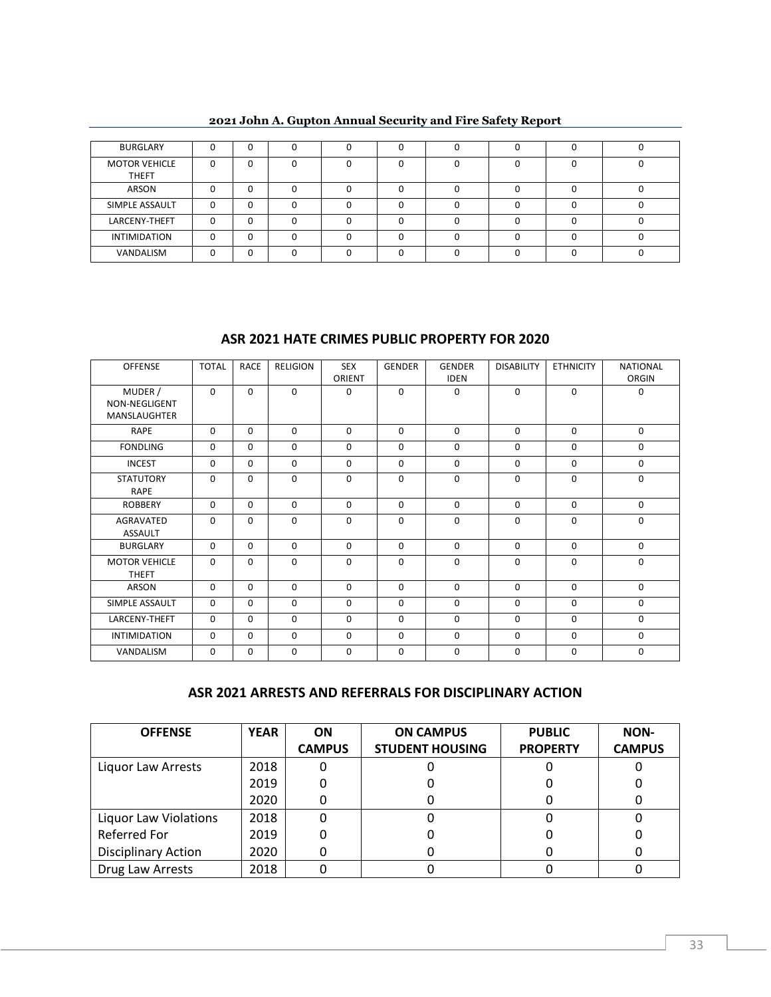| BURGLARY                             |              |   |  |  |  |  |
|--------------------------------------|--------------|---|--|--|--|--|
| <b>MOTOR VEHICLE</b><br><b>THEFT</b> | 0            | 0 |  |  |  |  |
| ARSON                                |              | 0 |  |  |  |  |
| SIMPLE ASSAULT                       | <sup>n</sup> | n |  |  |  |  |
| LARCENY-THEFT                        | ŋ            | o |  |  |  |  |
| <b>INTIMIDATION</b>                  | n            | n |  |  |  |  |
| VANDALISM                            |              | U |  |  |  |  |

#### **ASR 2021 HATE CRIMES PUBLIC PROPERTY FOR 2020**

| <b>OFFENSE</b>                                  | <b>TOTAL</b> | <b>RACE</b> | <b>RELIGION</b> | <b>SEX</b><br>ORIENT | <b>GENDER</b> | <b>GENDER</b><br><b>IDEN</b> | <b>DISABILITY</b> | <b>ETHNICITY</b> | <b>NATIONAL</b><br>ORGIN |
|-------------------------------------------------|--------------|-------------|-----------------|----------------------|---------------|------------------------------|-------------------|------------------|--------------------------|
| MUDER /<br>NON-NEGLIGENT<br><b>MANSLAUGHTER</b> | $\Omega$     | $\Omega$    | $\Omega$        | 0                    | $\Omega$      | 0                            | $\Omega$          | $\Omega$         | $\Omega$                 |
| <b>RAPE</b>                                     | $\Omega$     | $\Omega$    | $\Omega$        | $\Omega$             | $\Omega$      | $\Omega$                     | $\mathbf 0$       | $\Omega$         | $\mathbf 0$              |
| <b>FONDLING</b>                                 | $\Omega$     | 0           | $\Omega$        | $\Omega$             | $\Omega$      | $\Omega$                     | $\mathbf 0$       | $\Omega$         | $\mathbf 0$              |
| <b>INCEST</b>                                   | $\Omega$     | $\Omega$    | $\Omega$        | $\Omega$             | $\Omega$      | $\Omega$                     | $\Omega$          | $\Omega$         | $\mathbf 0$              |
| <b>STATUTORY</b><br><b>RAPE</b>                 | $\Omega$     | 0           | $\Omega$        | $\Omega$             | $\Omega$      | $\Omega$                     | $\mathbf 0$       | $\Omega$         | $\mathbf 0$              |
| <b>ROBBERY</b>                                  | $\Omega$     | $\Omega$    | $\Omega$        | $\Omega$             | $\Omega$      | $\Omega$                     | $\mathbf 0$       | $\Omega$         | $\mathbf 0$              |
| <b>AGRAVATED</b><br><b>ASSAULT</b>              | $\Omega$     | $\Omega$    | $\Omega$        | $\Omega$             | $\Omega$      | $\Omega$                     | $\Omega$          | $\Omega$         | $\Omega$                 |
| <b>BURGLARY</b>                                 | $\Omega$     | $\Omega$    | $\Omega$        | $\Omega$             | $\Omega$      | $\Omega$                     | $\Omega$          | $\Omega$         | $\Omega$                 |
| <b>MOTOR VEHICLE</b><br><b>THEFT</b>            | $\Omega$     | $\Omega$    | $\Omega$        | $\Omega$             | $\Omega$      | $\Omega$                     | $\Omega$          | $\Omega$         | $\Omega$                 |
| <b>ARSON</b>                                    | $\Omega$     | $\Omega$    | $\Omega$        | $\Omega$             | $\Omega$      | $\Omega$                     | $\mathbf 0$       | $\Omega$         | $\mathbf 0$              |
| SIMPLE ASSAULT                                  | $\Omega$     | $\Omega$    | $\Omega$        | $\Omega$             | $\Omega$      | $\Omega$                     | $\Omega$          | $\Omega$         | $\Omega$                 |
| LARCENY-THEFT                                   | $\Omega$     | $\Omega$    | $\Omega$        | $\Omega$             | $\Omega$      | $\Omega$                     | $\Omega$          | $\Omega$         | $\mathbf 0$              |
| <b>INTIMIDATION</b>                             | $\Omega$     | 0           | 0               | 0                    | 0             | $\mathbf 0$                  | $\mathbf 0$       | 0                | $\mathbf 0$              |
| VANDALISM                                       | $\Omega$     | $\Omega$    | $\Omega$        | $\Omega$             | $\Omega$      | $\mathbf 0$                  | $\mathbf 0$       | $\Omega$         | $\mathbf 0$              |

#### **ASR 2021 ARRESTS AND REFERRALS FOR DISCIPLINARY ACTION**

| <b>OFFENSE</b>               | <b>YEAR</b> | <b>ON</b>     | <b>ON CAMPUS</b>       | <b>PUBLIC</b>   | <b>NON-</b>   |
|------------------------------|-------------|---------------|------------------------|-----------------|---------------|
|                              |             | <b>CAMPUS</b> | <b>STUDENT HOUSING</b> | <b>PROPERTY</b> | <b>CAMPUS</b> |
| Liquor Law Arrests           | 2018        |               |                        |                 |               |
|                              | 2019        |               |                        |                 |               |
|                              | 2020        |               |                        |                 |               |
| <b>Liquor Law Violations</b> | 2018        |               |                        |                 |               |
| <b>Referred For</b>          | 2019        |               |                        |                 |               |
| <b>Disciplinary Action</b>   | 2020        |               |                        |                 |               |
| Drug Law Arrests             | 2018        |               |                        |                 |               |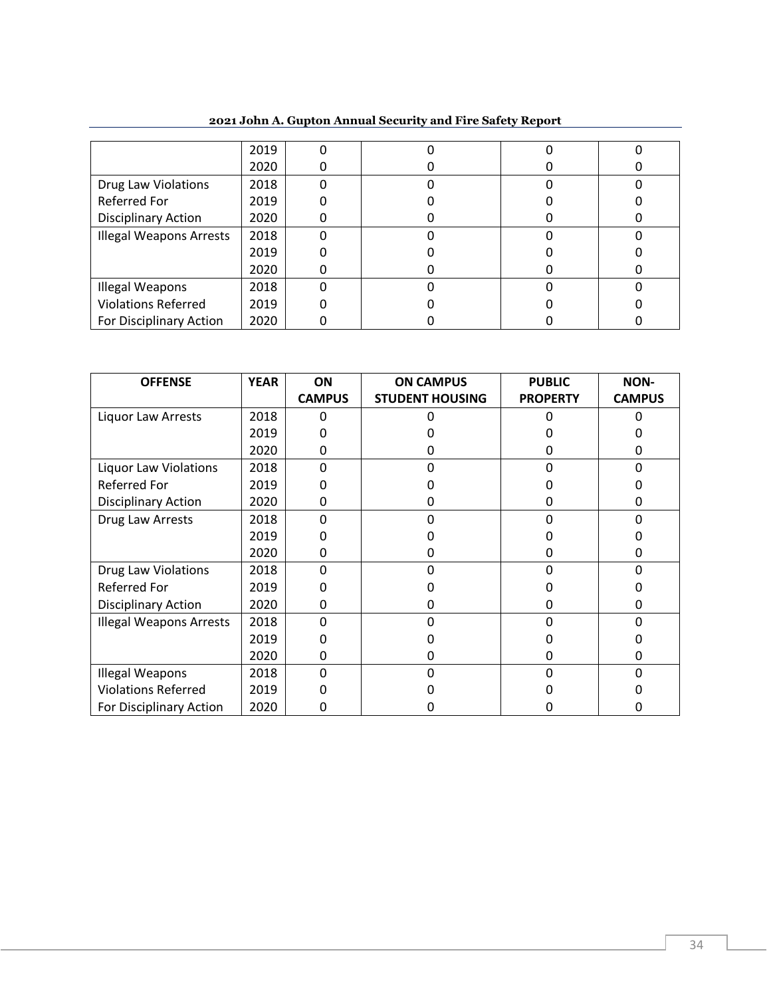|                                | 2019 |   |  |  |
|--------------------------------|------|---|--|--|
|                                | 2020 |   |  |  |
| <b>Drug Law Violations</b>     | 2018 | O |  |  |
| <b>Referred For</b>            | 2019 |   |  |  |
| <b>Disciplinary Action</b>     | 2020 |   |  |  |
| <b>Illegal Weapons Arrests</b> | 2018 |   |  |  |
|                                | 2019 |   |  |  |
|                                | 2020 |   |  |  |
| <b>Illegal Weapons</b>         | 2018 |   |  |  |
| <b>Violations Referred</b>     | 2019 |   |  |  |
| For Disciplinary Action        | 2020 |   |  |  |

**John A. Gupton Annual Security and Fire Safety Report**

| <b>OFFENSE</b>                 | <b>YEAR</b> | ON            | <b>ON CAMPUS</b>       | <b>PUBLIC</b>   | <b>NON-</b>   |
|--------------------------------|-------------|---------------|------------------------|-----------------|---------------|
|                                |             | <b>CAMPUS</b> | <b>STUDENT HOUSING</b> | <b>PROPERTY</b> | <b>CAMPUS</b> |
| Liquor Law Arrests             | 2018        |               |                        |                 |               |
|                                | 2019        |               |                        |                 |               |
|                                | 2020        | 0             |                        | Ω               |               |
| <b>Liquor Law Violations</b>   | 2018        | n             | O                      | o               | n             |
| Referred For                   | 2019        |               |                        |                 |               |
| <b>Disciplinary Action</b>     | 2020        |               |                        | 0               |               |
| Drug Law Arrests               | 2018        | n             |                        |                 | n             |
|                                | 2019        |               |                        |                 |               |
|                                | 2020        | 0             | 0                      | 0               | Ω             |
| <b>Drug Law Violations</b>     | 2018        | n             |                        |                 |               |
| Referred For                   | 2019        |               |                        |                 |               |
| <b>Disciplinary Action</b>     | 2020        | O             |                        | 0               |               |
| <b>Illegal Weapons Arrests</b> | 2018        | n             | O                      | o               | n             |
|                                | 2019        |               |                        |                 |               |
|                                | 2020        |               |                        | O               |               |
| Illegal Weapons                | 2018        | ŋ             |                        |                 |               |
| <b>Violations Referred</b>     | 2019        |               |                        |                 |               |
| For Disciplinary Action        | 2020        |               |                        |                 |               |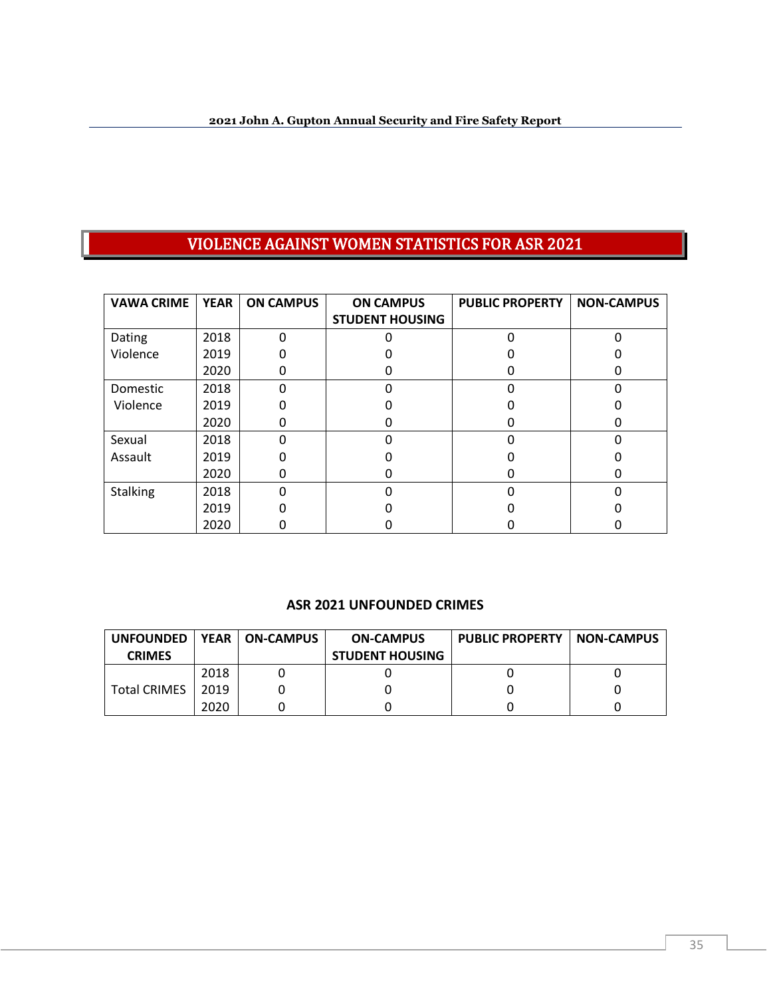# VIOLENCE AGAINST WOMEN STATISTICS FOR ASR 2021

| <b>VAWA CRIME</b> | <b>YEAR</b> | <b>ON CAMPUS</b> | <b>PUBLIC PROPERTY</b><br><b>ON CAMPUS</b> |  | <b>NON-CAMPUS</b> |
|-------------------|-------------|------------------|--------------------------------------------|--|-------------------|
|                   |             |                  | <b>STUDENT HOUSING</b>                     |  |                   |
| Dating            | 2018        |                  |                                            |  |                   |
| Violence          | 2019        |                  |                                            |  |                   |
|                   | 2020        | O                |                                            |  |                   |
| Domestic          | 2018        | n                |                                            |  |                   |
| Violence          | 2019        |                  |                                            |  |                   |
|                   | 2020        | O                |                                            |  | O                 |
| Sexual            | 2018        |                  |                                            |  |                   |
| Assault           | 2019        |                  |                                            |  |                   |
|                   | 2020        | n                |                                            |  | O                 |
| <b>Stalking</b>   | 2018        |                  |                                            |  |                   |
|                   | 2019        |                  |                                            |  |                   |
|                   | 2020        |                  |                                            |  |                   |

#### **ASR 2021 UNFOUNDED CRIMES**

| <b>UNFOUNDED</b>    | <b>YEAR</b> | .   ON-CAMPUS | <b>ON-CAMPUS</b>       | <b>PUBLIC PROPERTY   NON-CAMPUS</b> |  |
|---------------------|-------------|---------------|------------------------|-------------------------------------|--|
| <b>CRIMES</b>       |             |               | <b>STUDENT HOUSING</b> |                                     |  |
| <b>Total CRIMES</b> | 2018        |               |                        |                                     |  |
|                     | 2019        |               |                        |                                     |  |
|                     | 2020        |               |                        |                                     |  |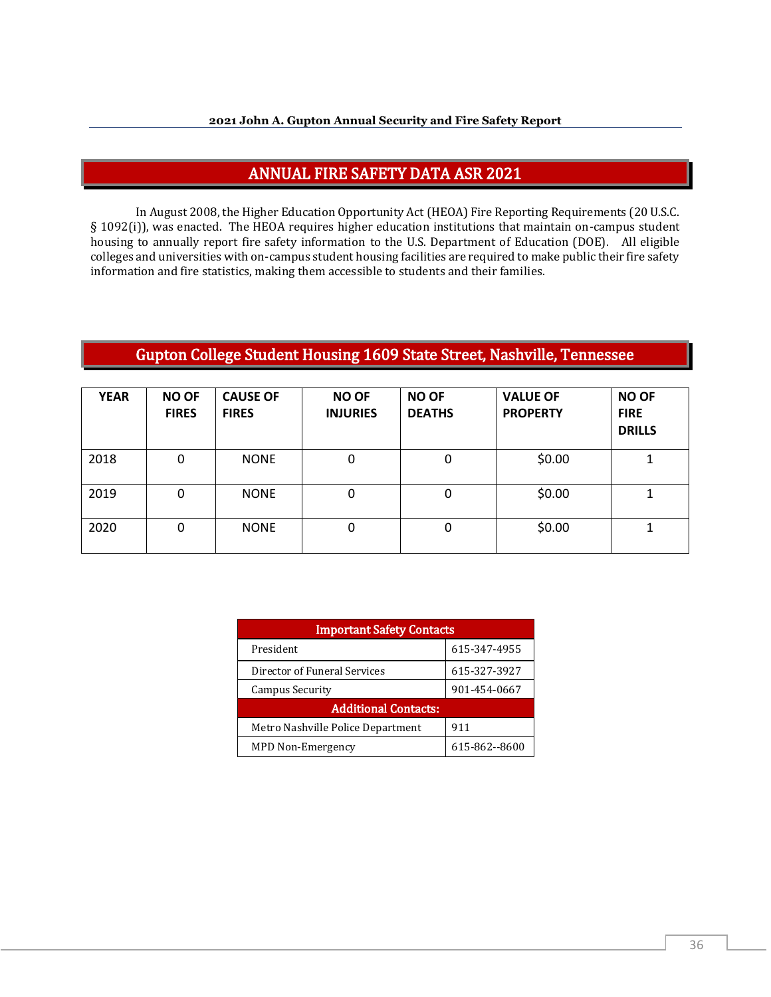## ANNUAL FIRE SAFETY DATA ASR 2021

In August 2008, the Higher Education Opportunity Act (HEOA) Fire Reporting Requirements (20 U.S.C. § 1092(i)), was enacted. The HEOA requires higher education institutions that maintain on-campus student housing to annually report fire safety information to the U.S. Department of Education (DOE). All eligible colleges and universities with on-campus student housing facilities are required to make public their fire safety information and fire statistics, making them accessible to students and their families.

# Gupton College Student Housing 1609 State Street, Nashville, Tennessee

| <b>YEAR</b> | <b>NO OF</b><br><b>FIRES</b> | <b>CAUSE OF</b><br><b>FIRES</b> | <b>NO OF</b><br><b>INJURIES</b> | <b>NO OF</b><br><b>DEATHS</b> | <b>VALUE OF</b><br><b>PROPERTY</b> | <b>NO OF</b><br><b>FIRE</b><br><b>DRILLS</b> |
|-------------|------------------------------|---------------------------------|---------------------------------|-------------------------------|------------------------------------|----------------------------------------------|
| 2018        | 0                            | <b>NONE</b>                     | 0                               | 0                             | \$0.00                             |                                              |
| 2019        | 0                            | <b>NONE</b>                     | 0                               | 0                             | \$0.00                             |                                              |
| 2020        | 0                            | <b>NONE</b>                     | 0                               | 0                             | \$0.00                             |                                              |

| <b>Important Safety Contacts</b>  |               |  |  |  |
|-----------------------------------|---------------|--|--|--|
| President                         | 615-347-4955  |  |  |  |
| Director of Funeral Services      | 615-327-3927  |  |  |  |
| Campus Security                   | 901-454-0667  |  |  |  |
| <b>Additional Contacts:</b>       |               |  |  |  |
| Metro Nashville Police Department | 911           |  |  |  |
| MPD Non-Emergency                 | 615-862--8600 |  |  |  |